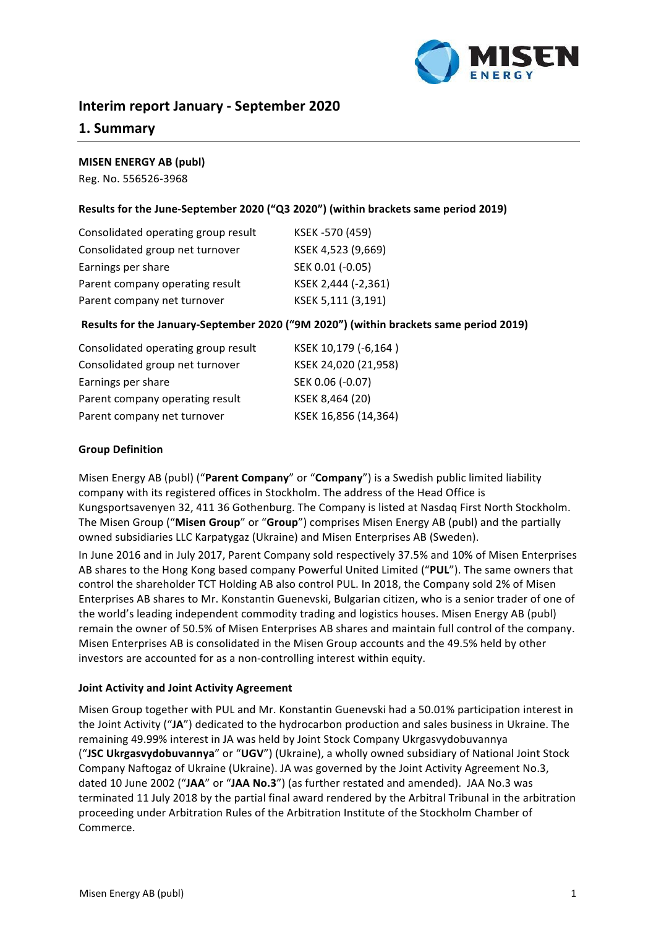

# **Interim report January - September 2020**

# **1. Summary**

#### **MISEN ENERGY AB (publ)**

Reg. No. 556526-3968

### Results for the June-September 2020 ("Q3 2020") (within brackets same period 2019)

| Consolidated operating group result | KSEK -570 (459)     |
|-------------------------------------|---------------------|
| Consolidated group net turnover     | KSEK 4,523 (9,669)  |
| Earnings per share                  | SEK 0.01 (-0.05)    |
| Parent company operating result     | KSEK 2,444 (-2,361) |
| Parent company net turnover         | KSEK 5,111 (3,191)  |

### **Results for the January-September 2020 ("9M 2020") (within brackets same period 2019)**

| Consolidated operating group result | KSEK 10,179 (-6,164) |
|-------------------------------------|----------------------|
| Consolidated group net turnover     | KSEK 24,020 (21,958) |
| Earnings per share                  | SEK 0.06 (-0.07)     |
| Parent company operating result     | KSEK 8,464 (20)      |
| Parent company net turnover         | KSEK 16,856 (14,364) |

#### **Group Definition**

Misen Energy AB (publ) ("Parent Company" or "Company") is a Swedish public limited liability company with its registered offices in Stockholm. The address of the Head Office is Kungsportsavenyen 32, 411 36 Gothenburg. The Company is listed at Nasdaq First North Stockholm. The Misen Group ("**Misen Group**" or "**Group**") comprises Misen Energy AB (publ) and the partially owned subsidiaries LLC Karpatygaz (Ukraine) and Misen Enterprises AB (Sweden).

In June 2016 and in July 2017, Parent Company sold respectively 37.5% and 10% of Misen Enterprises AB shares to the Hong Kong based company Powerful United Limited ("PUL"). The same owners that control the shareholder TCT Holding AB also control PUL. In 2018, the Company sold 2% of Misen Enterprises AB shares to Mr. Konstantin Guenevski, Bulgarian citizen, who is a senior trader of one of the world's leading independent commodity trading and logistics houses. Misen Energy AB (publ) remain the owner of 50.5% of Misen Enterprises AB shares and maintain full control of the company. Misen Enterprises AB is consolidated in the Misen Group accounts and the 49.5% held by other investors are accounted for as a non-controlling interest within equity.

#### **Joint Activity and Joint Activity Agreement**

Misen Group together with PUL and Mr. Konstantin Guenevski had a 50.01% participation interest in the Joint Activity ("JA") dedicated to the hydrocarbon production and sales business in Ukraine. The remaining 49.99% interest in JA was held by Joint Stock Company Ukrgasvydobuvannya ("JSC Ukrgasvydobuvannya" or "UGV") (Ukraine), a wholly owned subsidiary of National Joint Stock Company Naftogaz of Ukraine (Ukraine). JA was governed by the Joint Activity Agreement No.3, dated 10 June 2002 ("JAA" or "JAA No.3") (as further restated and amended). JAA No.3 was terminated 11 July 2018 by the partial final award rendered by the Arbitral Tribunal in the arbitration proceeding under Arbitration Rules of the Arbitration Institute of the Stockholm Chamber of Commerce.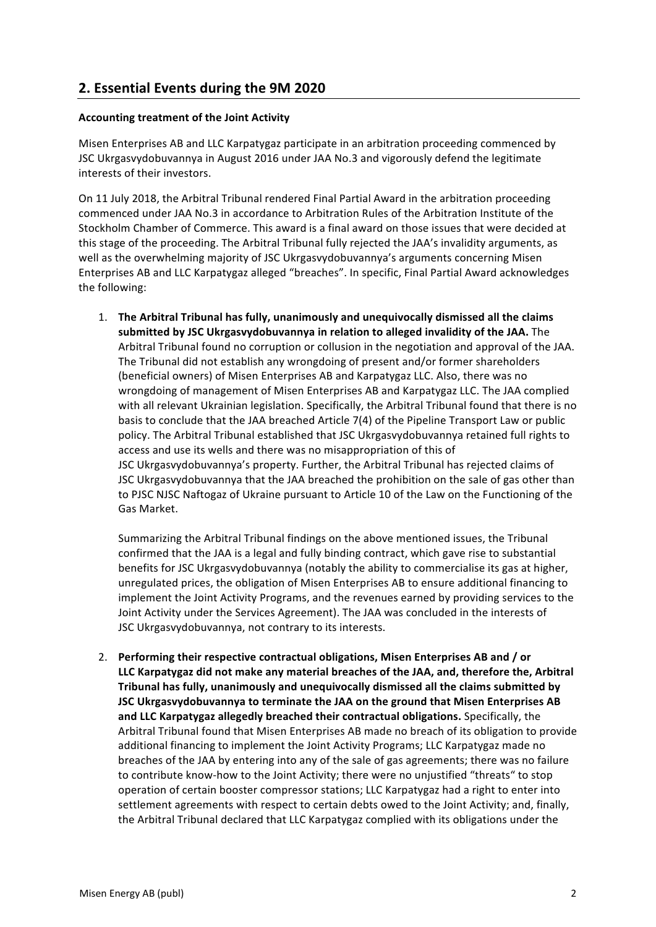# **2. Essential Events during the 9М 2020**

# **Accounting treatment of the Joint Activity**

Misen Enterprises AB and LLC Karpatygaz participate in an arbitration proceeding commenced by JSC Ukrgasvydobuvannya in August 2016 under JAA No.3 and vigorously defend the legitimate interests of their investors.

On 11 July 2018, the Arbitral Tribunal rendered Final Partial Award in the arbitration proceeding commenced under JAA No.3 in accordance to Arbitration Rules of the Arbitration Institute of the Stockholm Chamber of Commerce. This award is a final award on those issues that were decided at this stage of the proceeding. The Arbitral Tribunal fully rejected the JAA's invalidity arguments, as well as the overwhelming majority of JSC Ukrgasvydobuvannya's arguments concerning Misen Enterprises AB and LLC Karpatygaz alleged "breaches". In specific, Final Partial Award acknowledges the following:

1. The Arbitral Tribunal has fully, unanimously and unequivocally dismissed all the claims submitted by JSC Ukrgasvydobuvannya in relation to alleged invalidity of the JAA. The Arbitral Tribunal found no corruption or collusion in the negotiation and approval of the JAA. The Tribunal did not establish any wrongdoing of present and/or former shareholders (beneficial owners) of Misen Enterprises AB and Karpatygaz LLC. Also, there was no wrongdoing of management of Misen Enterprises AB and Karpatygaz LLC. The JAA complied with all relevant Ukrainian legislation. Specifically, the Arbitral Tribunal found that there is no basis to conclude that the JAA breached Article 7(4) of the Pipeline Transport Law or public policy. The Arbitral Tribunal established that JSC Ukrgasvydobuvannya retained full rights to access and use its wells and there was no misappropriation of this of JSC Ukrgasvydobuvannya's property. Further, the Arbitral Tribunal has rejected claims of JSC Ukrgasvydobuvannya that the JAA breached the prohibition on the sale of gas other than to PJSC NJSC Naftogaz of Ukraine pursuant to Article 10 of the Law on the Functioning of the Gas Market.

Summarizing the Arbitral Tribunal findings on the above mentioned issues, the Tribunal confirmed that the JAA is a legal and fully binding contract, which gave rise to substantial benefits for JSC Ukrgasvydobuvannya (notably the ability to commercialise its gas at higher, unregulated prices, the obligation of Misen Enterprises AB to ensure additional financing to implement the Joint Activity Programs, and the revenues earned by providing services to the Joint Activity under the Services Agreement). The JAA was concluded in the interests of JSC Ukrgasvydobuvannya, not contrary to its interests.

2. Performing their respective contractual obligations, Misen Enterprises AB and / or LLC Karpatygaz did not make any material breaches of the JAA, and, therefore the, Arbitral **Tribunal has fully, unanimously and unequivocally dismissed all the claims submitted by JSC Ukrgasvydobuvannya to terminate the JAA on the ground that Misen Enterprises AB** and LLC Karpatygaz allegedly breached their contractual obligations. Specifically, the Arbitral Tribunal found that Misen Enterprises AB made no breach of its obligation to provide additional financing to implement the Joint Activity Programs; LLC Karpatygaz made no breaches of the JAA by entering into any of the sale of gas agreements; there was no failure to contribute know-how to the Joint Activity; there were no unjustified "threats" to stop operation of certain booster compressor stations; LLC Karpatygaz had a right to enter into settlement agreements with respect to certain debts owed to the Joint Activity; and, finally, the Arbitral Tribunal declared that LLC Karpatygaz complied with its obligations under the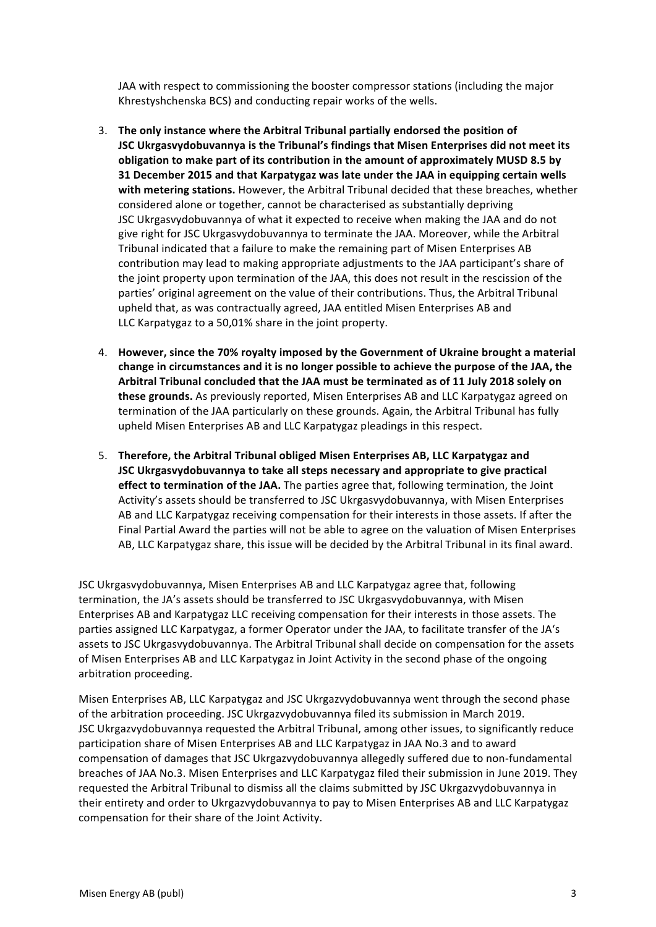JAA with respect to commissioning the booster compressor stations (including the major Khrestyshchenska BCS) and conducting repair works of the wells.

- 3. The only instance where the Arbitral Tribunal partially endorsed the position of **JSC Ukrgasvydobuvannya is the Tribunal's findings that Misen Enterprises did not meet its** obligation to make part of its contribution in the amount of approximately MUSD 8.5 by **31 December 2015 and that Karpatygaz was late under the JAA in equipping certain wells** with metering stations. However, the Arbitral Tribunal decided that these breaches, whether considered alone or together, cannot be characterised as substantially depriving JSC Ukrgasvydobuvannya of what it expected to receive when making the JAA and do not give right for JSC Ukrgasvydobuvannya to terminate the JAA. Moreover, while the Arbitral Tribunal indicated that a failure to make the remaining part of Misen Enterprises AB contribution may lead to making appropriate adjustments to the JAA participant's share of the joint property upon termination of the JAA, this does not result in the rescission of the parties' original agreement on the value of their contributions. Thus, the Arbitral Tribunal upheld that, as was contractually agreed, JAA entitled Misen Enterprises AB and LLC Karpatygaz to a 50,01% share in the joint property.
- 4. However, since the 70% royalty imposed by the Government of Ukraine brought a material change in circumstances and it is no longer possible to achieve the purpose of the JAA, the Arbitral Tribunal concluded that the JAA must be terminated as of 11 July 2018 solely on **these grounds.** As previously reported, Misen Enterprises AB and LLC Karpatygaz agreed on termination of the JAA particularly on these grounds. Again, the Arbitral Tribunal has fully upheld Misen Enterprises AB and LLC Karpatygaz pleadings in this respect.
- 5. Therefore, the Arbitral Tribunal obliged Misen Enterprises AB, LLC Karpatygaz and **JSC** Ukrgasvydobuvannya to take all steps necessary and appropriate to give practical **effect to termination of the JAA.** The parties agree that, following termination, the Joint Activity's assets should be transferred to JSC Ukrgasvydobuvannya, with Misen Enterprises AB and LLC Karpatygaz receiving compensation for their interests in those assets. If after the Final Partial Award the parties will not be able to agree on the valuation of Misen Enterprises AB, LLC Karpatygaz share, this issue will be decided by the Arbitral Tribunal in its final award.

JSC Ukrgasvydobuvannya, Misen Enterprises AB and LLC Karpatygaz agree that, following termination, the JA's assets should be transferred to JSC Ukrgasvydobuvannya, with Misen Enterprises AB and Karpatygaz LLC receiving compensation for their interests in those assets. The parties assigned LLC Karpatygaz, a former Operator under the JAA, to facilitate transfer of the JA's assets to JSC Ukrgasvydobuvannya. The Arbitral Tribunal shall decide on compensation for the assets of Misen Enterprises AB and LLC Karpatygaz in Joint Activity in the second phase of the ongoing arbitration proceeding.

Misen Enterprises AB, LLC Karpatygaz and JSC Ukrgazvydobuvannya went through the second phase of the arbitration proceeding. JSC Ukrgazvydobuvannya filed its submission in March 2019. JSC Ukrgazvydobuvannya requested the Arbitral Tribunal, among other issues, to significantly reduce participation share of Misen Enterprises AB and LLC Karpatygaz in JAA No.3 and to award compensation of damages that JSC Ukrgazvydobuvannya allegedly suffered due to non-fundamental breaches of JAA No.3. Misen Enterprises and LLC Karpatygaz filed their submission in June 2019. They requested the Arbitral Tribunal to dismiss all the claims submitted by JSC Ukrgazvydobuvannya in their entirety and order to Ukrgazvydobuvannya to pay to Misen Enterprises AB and LLC Karpatygaz compensation for their share of the Joint Activity.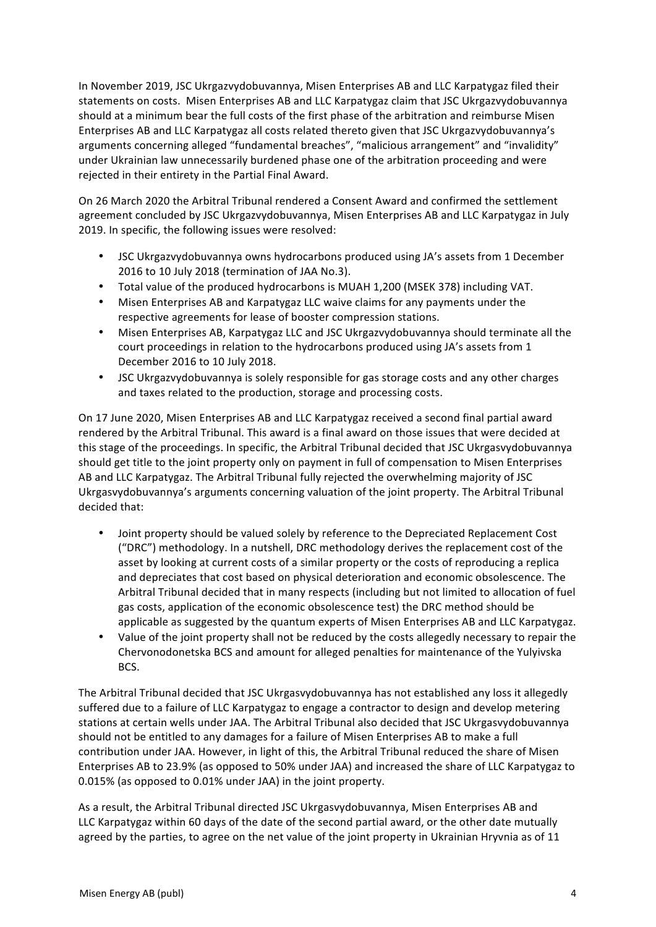In November 2019, JSC Ukrgazvydobuvannya, Misen Enterprises AB and LLC Karpatygaz filed their statements on costs. Misen Enterprises AB and LLC Karpatygaz claim that JSC Ukrgazvydobuvannya should at a minimum bear the full costs of the first phase of the arbitration and reimburse Misen Enterprises AB and LLC Karpatygaz all costs related thereto given that JSC Ukrgazvydobuvannya's arguments concerning alleged "fundamental breaches", "malicious arrangement" and "invalidity" under Ukrainian law unnecessarily burdened phase one of the arbitration proceeding and were rejected in their entirety in the Partial Final Award.

On 26 March 2020 the Arbitral Tribunal rendered a Consent Award and confirmed the settlement agreement concluded by JSC Ukrgazvydobuvannya, Misen Enterprises AB and LLC Karpatygaz in July 2019. In specific, the following issues were resolved:

- JSC Ukrgazvydobuvannya owns hydrocarbons produced using JA's assets from 1 December 2016 to 10 July 2018 (termination of JAA No.3).
- Total value of the produced hydrocarbons is MUAH 1,200 (MSEK 378) including VAT.
- Misen Enterprises AB and Karpatygaz LLC waive claims for any payments under the respective agreements for lease of booster compression stations.
- Misen Enterprises AB, Karpatygaz LLC and JSC Ukrgazvydobuvannya should terminate all the court proceedings in relation to the hydrocarbons produced using JA's assets from 1 December 2016 to 10 July 2018.
- JSC Ukrgazvydobuvannya is solely responsible for gas storage costs and any other charges and taxes related to the production, storage and processing costs.

On 17 June 2020, Misen Enterprises AB and LLC Karpatygaz received a second final partial award rendered by the Arbitral Tribunal. This award is a final award on those issues that were decided at this stage of the proceedings. In specific, the Arbitral Tribunal decided that JSC Ukrgasvydobuvannya should get title to the joint property only on payment in full of compensation to Misen Enterprises AB and LLC Karpatygaz. The Arbitral Tribunal fully rejected the overwhelming majority of JSC Ukrgasvydobuvannya's arguments concerning valuation of the joint property. The Arbitral Tribunal decided that:

- Joint property should be valued solely by reference to the Depreciated Replacement Cost ("DRC") methodology. In a nutshell, DRC methodology derives the replacement cost of the asset by looking at current costs of a similar property or the costs of reproducing a replica and depreciates that cost based on physical deterioration and economic obsolescence. The Arbitral Tribunal decided that in many respects (including but not limited to allocation of fuel gas costs, application of the economic obsolescence test) the DRC method should be applicable as suggested by the quantum experts of Misen Enterprises AB and LLC Karpatygaz.
- Value of the joint property shall not be reduced by the costs allegedly necessary to repair the Chervonodonetska BCS and amount for alleged penalties for maintenance of the Yulyivska BCS.

The Arbitral Tribunal decided that JSC Ukrgasvydobuvannya has not established any loss it allegedly suffered due to a failure of LLC Karpatygaz to engage a contractor to design and develop metering stations at certain wells under JAA. The Arbitral Tribunal also decided that JSC Ukrgasvydobuvannya should not be entitled to any damages for a failure of Misen Enterprises AB to make a full contribution under JAA. However, in light of this, the Arbitral Tribunal reduced the share of Misen Enterprises AB to 23.9% (as opposed to 50% under JAA) and increased the share of LLC Karpatygaz to 0.015% (as opposed to 0.01% under JAA) in the joint property.

As a result, the Arbitral Tribunal directed JSC Ukrgasvydobuvannya, Misen Enterprises AB and LLC Karpatygaz within 60 days of the date of the second partial award, or the other date mutually agreed by the parties, to agree on the net value of the joint property in Ukrainian Hryvnia as of 11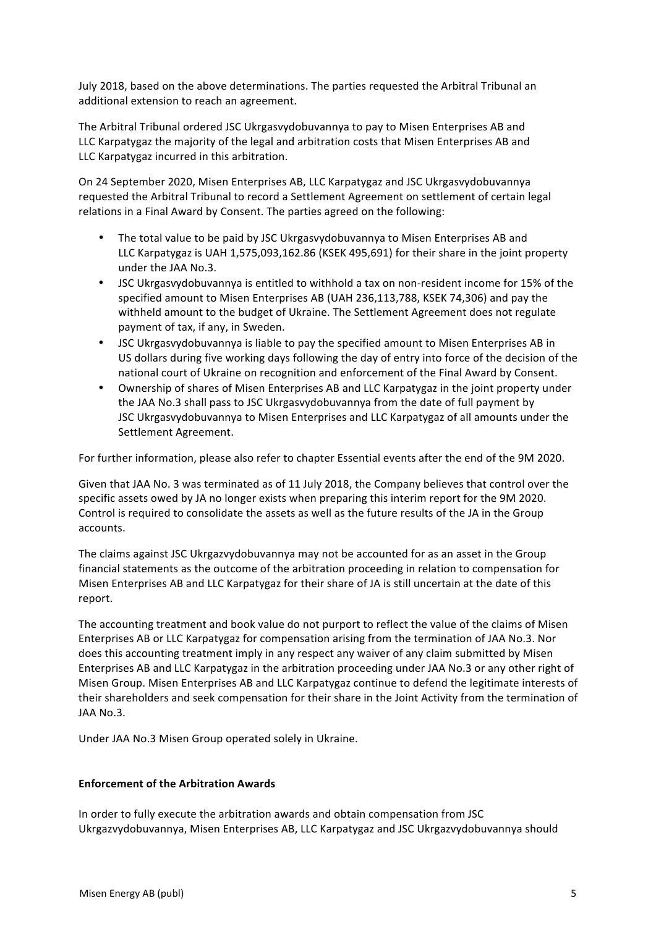July 2018, based on the above determinations. The parties requested the Arbitral Tribunal an additional extension to reach an agreement.

The Arbitral Tribunal ordered JSC Ukrgasvydobuvannya to pay to Misen Enterprises AB and LLC Karpatygaz the majority of the legal and arbitration costs that Misen Enterprises AB and LLC Karpatygaz incurred in this arbitration.

On 24 September 2020, Misen Enterprises AB, LLC Karpatygaz and JSC Ukrgasvydobuvannya requested the Arbitral Tribunal to record a Settlement Agreement on settlement of certain legal relations in a Final Award by Consent. The parties agreed on the following:

- The total value to be paid by JSC Ukrgasyydobuvannya to Misen Enterprises AB and LLC Karpatygaz is UAH 1,575,093,162.86 (KSEK 495,691) for their share in the joint property under the JAA No.3.
- JSC Ukrgasvydobuvannya is entitled to withhold a tax on non-resident income for 15% of the specified amount to Misen Enterprises AB (UAH 236,113,788, KSEK 74,306) and pay the withheld amount to the budget of Ukraine. The Settlement Agreement does not regulate payment of tax, if any, in Sweden.
- JSC Ukrgasvydobuvannya is liable to pay the specified amount to Misen Enterprises AB in US dollars during five working days following the day of entry into force of the decision of the national court of Ukraine on recognition and enforcement of the Final Award by Consent.
- Ownership of shares of Misen Enterprises AB and LLC Karpatygaz in the joint property under the JAA No.3 shall pass to JSC Ukrgasvydobuvannya from the date of full payment by JSC Ukrgasvydobuvannya to Misen Enterprises and LLC Karpatygaz of all amounts under the Settlement Agreement.

For further information, please also refer to chapter Essential events after the end of the 9M 2020.

Given that JAA No. 3 was terminated as of 11 July 2018, the Company believes that control over the specific assets owed by JA no longer exists when preparing this interim report for the 9M 2020. Control is required to consolidate the assets as well as the future results of the JA in the Group accounts.

The claims against JSC Ukrgazvydobuvannya may not be accounted for as an asset in the Group financial statements as the outcome of the arbitration proceeding in relation to compensation for Misen Enterprises AB and LLC Karpatygaz for their share of JA is still uncertain at the date of this report.

The accounting treatment and book value do not purport to reflect the value of the claims of Misen Enterprises AB or LLC Karpatygaz for compensation arising from the termination of JAA No.3. Nor does this accounting treatment imply in any respect any waiver of any claim submitted by Misen Enterprises AB and LLC Karpatygaz in the arbitration proceeding under JAA No.3 or any other right of Misen Group. Misen Enterprises AB and LLC Karpatygaz continue to defend the legitimate interests of their shareholders and seek compensation for their share in the Joint Activity from the termination of JAA No.3.

Under JAA No.3 Misen Group operated solely in Ukraine.

### **Enforcement of the Arbitration Awards**

In order to fully execute the arbitration awards and obtain compensation from JSC Ukrgazvydobuvannya, Misen Enterprises AB, LLC Karpatygaz and JSC Ukrgazvydobuvannya should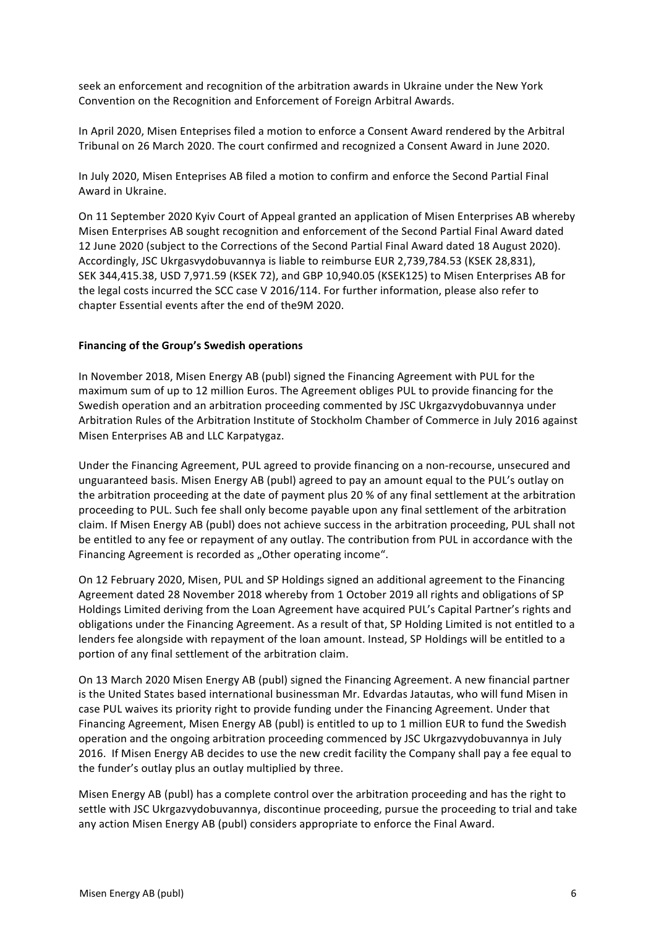seek an enforcement and recognition of the arbitration awards in Ukraine under the New York Convention on the Recognition and Enforcement of Foreign Arbitral Awards.

In April 2020, Misen Enteprises filed a motion to enforce a Consent Award rendered by the Arbitral Tribunal on 26 March 2020. The court confirmed and recognized a Consent Award in June 2020.

In July 2020, Misen Enteprises AB filed a motion to confirm and enforce the Second Partial Final Award in Ukraine.

On 11 September 2020 Kyiv Court of Appeal granted an application of Misen Enterprises AB whereby Misen Enterprises AB sought recognition and enforcement of the Second Partial Final Award dated 12 June 2020 (subject to the Corrections of the Second Partial Final Award dated 18 August 2020). Accordingly, JSC Ukrgasvydobuvannya is liable to reimburse EUR 2,739,784.53 (KSEK 28,831), SEK 344,415.38, USD 7,971.59 (KSEK 72), and GBP 10,940.05 (KSEK125) to Misen Enterprises AB for the legal costs incurred the SCC case V 2016/114. For further information, please also refer to chapter Essential events after the end of the9M 2020.

#### Financing of the Group's Swedish operations

In November 2018, Misen Energy AB (publ) signed the Financing Agreement with PUL for the maximum sum of up to 12 million Euros. The Agreement obliges PUL to provide financing for the Swedish operation and an arbitration proceeding commented by JSC Ukrgazvydobuvannya under Arbitration Rules of the Arbitration Institute of Stockholm Chamber of Commerce in July 2016 against Misen Enterprises AB and LLC Karpatygaz.

Under the Financing Agreement, PUL agreed to provide financing on a non-recourse, unsecured and unguaranteed basis. Misen Energy AB (publ) agreed to pay an amount equal to the PUL's outlay on the arbitration proceeding at the date of payment plus 20 % of any final settlement at the arbitration proceeding to PUL. Such fee shall only become payable upon any final settlement of the arbitration claim. If Misen Energy AB (publ) does not achieve success in the arbitration proceeding, PUL shall not be entitled to any fee or repayment of any outlay. The contribution from PUL in accordance with the Financing Agreement is recorded as "Other operating income".

On 12 February 2020, Misen, PUL and SP Holdings signed an additional agreement to the Financing Agreement dated 28 November 2018 whereby from 1 October 2019 all rights and obligations of SP Holdings Limited deriving from the Loan Agreement have acquired PUL's Capital Partner's rights and obligations under the Financing Agreement. As a result of that, SP Holding Limited is not entitled to a lenders fee alongside with repayment of the loan amount. Instead, SP Holdings will be entitled to a portion of any final settlement of the arbitration claim.

On 13 March 2020 Misen Energy AB (publ) signed the Financing Agreement. A new financial partner is the United States based international businessman Mr. Edvardas Jatautas, who will fund Misen in case PUL waives its priority right to provide funding under the Financing Agreement. Under that Financing Agreement, Misen Energy AB (publ) is entitled to up to 1 million EUR to fund the Swedish operation and the ongoing arbitration proceeding commenced by JSC Ukrgazvydobuvannya in July 2016. If Misen Energy AB decides to use the new credit facility the Company shall pay a fee equal to the funder's outlay plus an outlay multiplied by three.

Misen Energy AB (publ) has a complete control over the arbitration proceeding and has the right to settle with JSC Ukrgazvydobuvannya, discontinue proceeding, pursue the proceeding to trial and take any action Misen Energy AB (publ) considers appropriate to enforce the Final Award.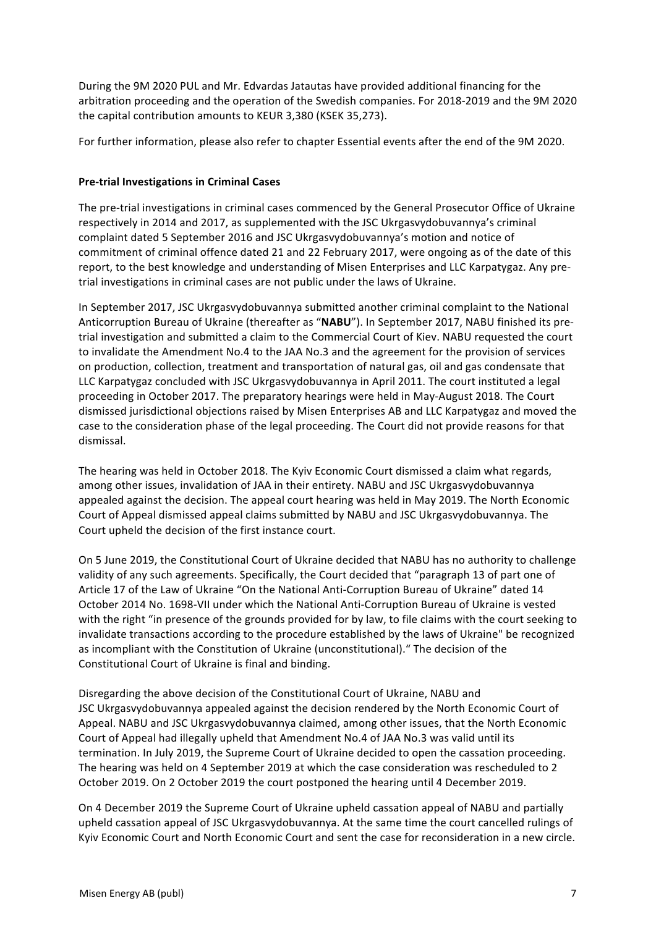During the 9M 2020 PUL and Mr. Edvardas Jatautas have provided additional financing for the arbitration proceeding and the operation of the Swedish companies. For 2018-2019 and the 9M 2020 the capital contribution amounts to KEUR 3,380 (KSEK 35,273).

For further information, please also refer to chapter Essential events after the end of the 9M 2020.

# **Pre-trial Investigations in Criminal Cases**

The pre-trial investigations in criminal cases commenced by the General Prosecutor Office of Ukraine respectively in 2014 and 2017, as supplemented with the JSC Ukrgasvydobuvannya's criminal complaint dated 5 September 2016 and JSC Ukrgasvydobuvannya's motion and notice of commitment of criminal offence dated 21 and 22 February 2017, were ongoing as of the date of this report, to the best knowledge and understanding of Misen Enterprises and LLC Karpatygaz. Any pretrial investigations in criminal cases are not public under the laws of Ukraine.

In September 2017, JSC Ukrgasvydobuvannya submitted another criminal complaint to the National Anticorruption Bureau of Ukraine (thereafter as "NABU"). In September 2017, NABU finished its pretrial investigation and submitted a claim to the Commercial Court of Kiev. NABU requested the court to invalidate the Amendment No.4 to the JAA No.3 and the agreement for the provision of services on production, collection, treatment and transportation of natural gas, oil and gas condensate that LLC Karpatygaz concluded with JSC Ukrgasvydobuvannya in April 2011. The court instituted a legal proceeding in October 2017. The preparatory hearings were held in May-August 2018. The Court dismissed jurisdictional objections raised by Misen Enterprises AB and LLC Karpatygaz and moved the case to the consideration phase of the legal proceeding. The Court did not provide reasons for that dismissal.

The hearing was held in October 2018. The Kyiv Economic Court dismissed a claim what regards, among other issues, invalidation of JAA in their entirety. NABU and JSC Ukrgasvydobuvannya appealed against the decision. The appeal court hearing was held in May 2019. The North Economic Court of Appeal dismissed appeal claims submitted by NABU and JSC Ukrgasvydobuvannya. The Court upheld the decision of the first instance court.

On 5 June 2019, the Constitutional Court of Ukraine decided that NABU has no authority to challenge validity of any such agreements. Specifically, the Court decided that "paragraph 13 of part one of Article 17 of the Law of Ukraine "On the National Anti-Corruption Bureau of Ukraine" dated 14 October 2014 No. 1698-VII under which the National Anti-Corruption Bureau of Ukraine is vested with the right "in presence of the grounds provided for by law, to file claims with the court seeking to invalidate transactions according to the procedure established by the laws of Ukraine" be recognized as incompliant with the Constitution of Ukraine (unconstitutional)." The decision of the Constitutional Court of Ukraine is final and binding.

Disregarding the above decision of the Constitutional Court of Ukraine, NABU and JSC Ukrgasvydobuvannya appealed against the decision rendered by the North Economic Court of Appeal. NABU and JSC Ukrgasvydobuvannya claimed, among other issues, that the North Economic Court of Appeal had illegally upheld that Amendment No.4 of JAA No.3 was valid until its termination. In July 2019, the Supreme Court of Ukraine decided to open the cassation proceeding. The hearing was held on 4 September 2019 at which the case consideration was rescheduled to 2 October 2019. On 2 October 2019 the court postponed the hearing until 4 December 2019.

On 4 December 2019 the Supreme Court of Ukraine upheld cassation appeal of NABU and partially upheld cassation appeal of JSC Ukrgasvydobuvannya. At the same time the court cancelled rulings of Kyiv Economic Court and North Economic Court and sent the case for reconsideration in a new circle.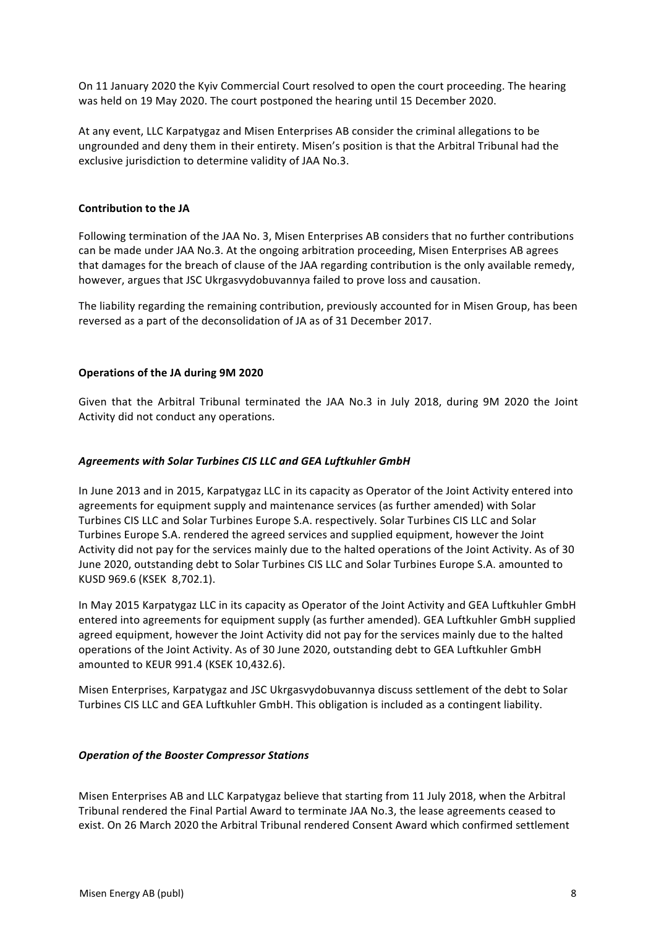On 11 January 2020 the Kyiv Commercial Court resolved to open the court proceeding. The hearing was held on 19 May 2020. The court postponed the hearing until 15 December 2020.

At any event, LLC Karpatygaz and Misen Enterprises AB consider the criminal allegations to be ungrounded and deny them in their entirety. Misen's position is that the Arbitral Tribunal had the exclusive jurisdiction to determine validity of JAA No.3.

### **Contribution to the JA**

Following termination of the JAA No. 3, Misen Enterprises AB considers that no further contributions can be made under JAA No.3. At the ongoing arbitration proceeding, Misen Enterprises AB agrees that damages for the breach of clause of the JAA regarding contribution is the only available remedy, however, argues that JSC Ukrgasvydobuvannya failed to prove loss and causation.

The liability regarding the remaining contribution, previously accounted for in Misen Group, has been reversed as a part of the deconsolidation of JA as of 31 December 2017.

#### **Operations of the JA during 9M 2020**

Given that the Arbitral Tribunal terminated the JAA No.3 in July 2018, during 9M 2020 the Joint Activity did not conduct any operations.

#### *Agreements with Solar Turbines CIS LLC and GEA Luftkuhler GmbH*

In June 2013 and in 2015, Karpatygaz LLC in its capacity as Operator of the Joint Activity entered into agreements for equipment supply and maintenance services (as further amended) with Solar Turbines CIS LLC and Solar Turbines Europe S.A. respectively. Solar Turbines CIS LLC and Solar Turbines Europe S.A. rendered the agreed services and supplied equipment, however the Joint Activity did not pay for the services mainly due to the halted operations of the Joint Activity. As of 30 June 2020, outstanding debt to Solar Turbines CIS LLC and Solar Turbines Europe S.A. amounted to KUSD 969.6 (KSEK 8,702.1).

In May 2015 Karpatygaz LLC in its capacity as Operator of the Joint Activity and GEA Luftkuhler GmbH entered into agreements for equipment supply (as further amended). GEA Luftkuhler GmbH supplied agreed equipment, however the Joint Activity did not pay for the services mainly due to the halted operations of the Joint Activity. As of 30 June 2020, outstanding debt to GEA Luftkuhler GmbH amounted to KEUR 991.4 (KSEK 10,432.6).

Misen Enterprises, Karpatygaz and JSC Ukrgasvydobuvannya discuss settlement of the debt to Solar Turbines CIS LLC and GEA Luftkuhler GmbH. This obligation is included as a contingent liability.

#### **Operation of the Booster Compressor Stations**

Misen Enterprises AB and LLC Karpatygaz believe that starting from 11 July 2018, when the Arbitral Tribunal rendered the Final Partial Award to terminate JAA No.3, the lease agreements ceased to exist. On 26 March 2020 the Arbitral Tribunal rendered Consent Award which confirmed settlement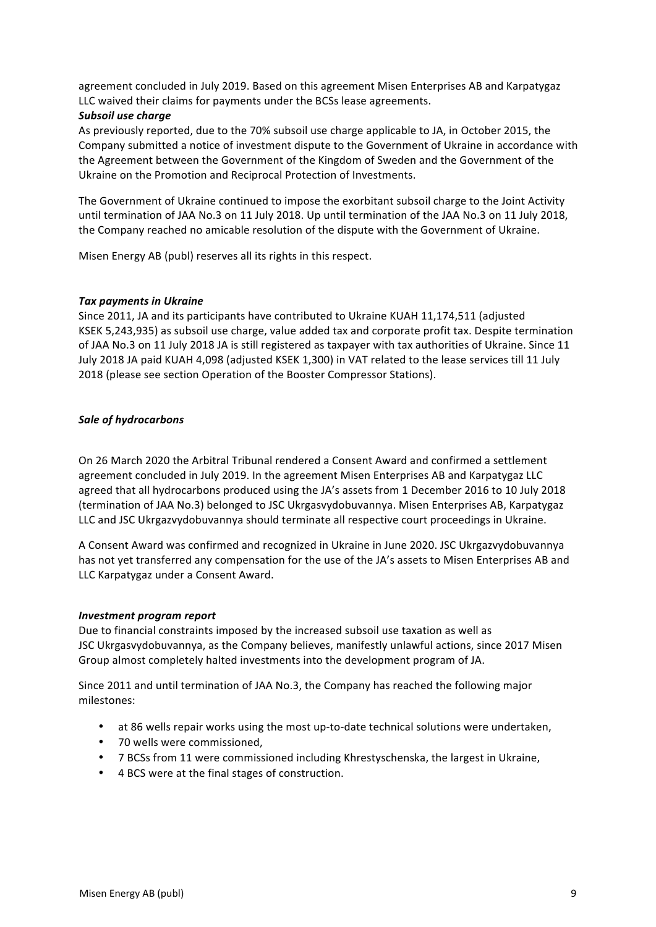agreement concluded in July 2019. Based on this agreement Misen Enterprises AB and Karpatygaz LLC waived their claims for payments under the BCSs lease agreements.

#### **Subsoil use charge**

As previously reported, due to the 70% subsoil use charge applicable to JA, in October 2015, the Company submitted a notice of investment dispute to the Government of Ukraine in accordance with the Agreement between the Government of the Kingdom of Sweden and the Government of the Ukraine on the Promotion and Reciprocal Protection of Investments.

The Government of Ukraine continued to impose the exorbitant subsoil charge to the Joint Activity until termination of JAA No.3 on 11 July 2018. Up until termination of the JAA No.3 on 11 July 2018, the Company reached no amicable resolution of the dispute with the Government of Ukraine.

Misen Energy AB (publ) reserves all its rights in this respect.

#### **Tax payments in Ukraine**

Since 2011, JA and its participants have contributed to Ukraine KUAH 11,174,511 (adjusted KSEK 5,243,935) as subsoil use charge, value added tax and corporate profit tax. Despite termination of JAA No.3 on 11 July 2018 JA is still registered as taxpayer with tax authorities of Ukraine. Since 11 July 2018 JA paid KUAH 4,098 (adjusted KSEK 1,300) in VAT related to the lease services till 11 July 2018 (please see section Operation of the Booster Compressor Stations).

### *Sale of hydrocarbons*

On 26 March 2020 the Arbitral Tribunal rendered a Consent Award and confirmed a settlement agreement concluded in July 2019. In the agreement Misen Enterprises AB and Karpatygaz LLC agreed that all hydrocarbons produced using the JA's assets from 1 December 2016 to 10 July 2018 (termination of JAA No.3) belonged to JSC Ukrgasvydobuvannya. Misen Enterprises AB, Karpatygaz LLC and JSC Ukrgazvydobuvannya should terminate all respective court proceedings in Ukraine.

A Consent Award was confirmed and recognized in Ukraine in June 2020. JSC Ukrgazvydobuvannya has not yet transferred any compensation for the use of the JA's assets to Misen Enterprises AB and LLC Karpatygaz under a Consent Award.

#### *Investment program report*

Due to financial constraints imposed by the increased subsoil use taxation as well as JSC Ukrgasvydobuvannya, as the Company believes, manifestly unlawful actions, since 2017 Misen Group almost completely halted investments into the development program of JA.

Since 2011 and until termination of JAA No.3, the Company has reached the following major milestones:

- at 86 wells repair works using the most up-to-date technical solutions were undertaken,
- 70 wells were commissioned.
- 7 BCSs from 11 were commissioned including Khrestyschenska, the largest in Ukraine,
- 4 BCS were at the final stages of construction.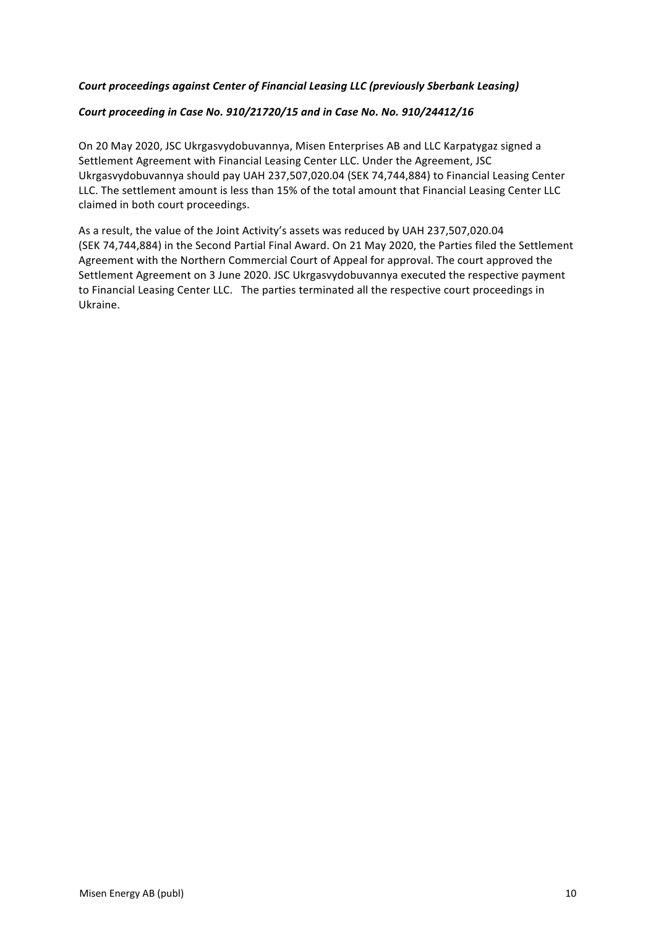# Court proceedings against Center of Financial Leasing LLC (previously Sberbank Leasing)

# Court proceeding in Case No. 910/21720/15 and in Case No. No. 910/24412/16

On 20 May 2020, JSC Ukrgasvydobuvannya, Misen Enterprises AB and LLC Karpatygaz signed a Settlement Agreement with Financial Leasing Center LLC. Under the Agreement, JSC Ukrgasvydobuvannya should pay UAH 237,507,020.04 (SEK 74,744,884) to Financial Leasing Center LLC. The settlement amount is less than 15% of the total amount that Financial Leasing Center LLC claimed in both court proceedings.

As a result, the value of the Joint Activity's assets was reduced by UAH 237,507,020.04 (SEK 74,744,884) in the Second Partial Final Award. On 21 May 2020, the Parties filed the Settlement Agreement with the Northern Commercial Court of Appeal for approval. The court approved the Settlement Agreement on 3 June 2020. JSC Ukrgasvydobuvannya executed the respective payment to Financial Leasing Center LLC. The parties terminated all the respective court proceedings in Ukraine.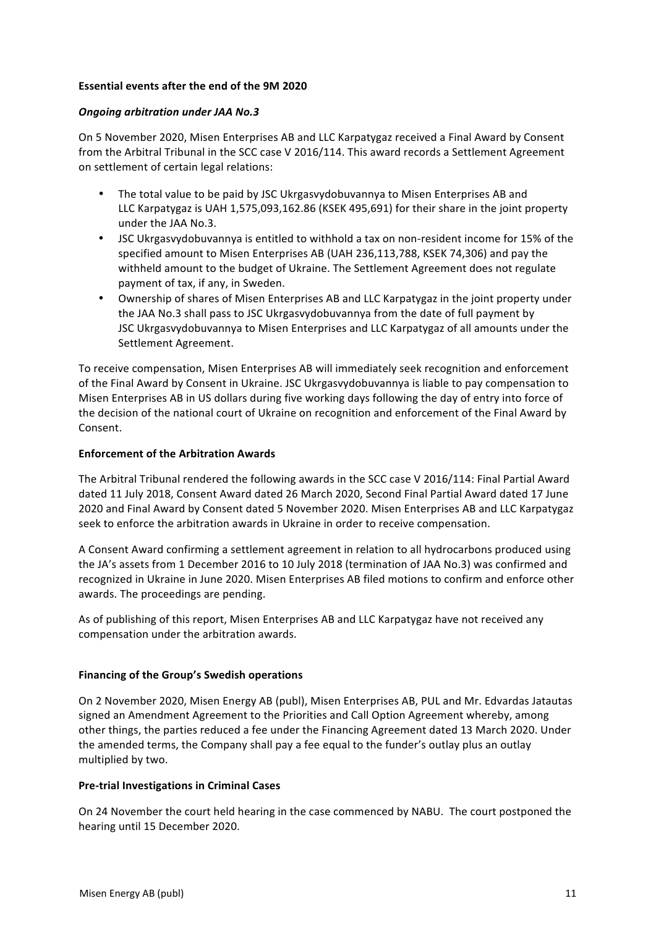# **Essential events after the end of the 9M 2020**

## *Ongoing arbitration under JAA No.3*

On 5 November 2020, Misen Enterprises AB and LLC Karpatygaz received a Final Award by Consent from the Arbitral Tribunal in the SCC case V 2016/114. This award records a Settlement Agreement on settlement of certain legal relations:

- The total value to be paid by JSC Ukrgasvydobuvannya to Misen Enterprises AB and LLC Karpatygaz is UAH 1,575,093,162.86 (KSEK 495,691) for their share in the joint property under the JAA No.3.
- JSC Ukrgasvydobuvannya is entitled to withhold a tax on non-resident income for 15% of the specified amount to Misen Enterprises AB (UAH 236,113,788, KSEK 74,306) and pay the withheld amount to the budget of Ukraine. The Settlement Agreement does not regulate payment of tax, if any, in Sweden.
- Ownership of shares of Misen Enterprises AB and LLC Karpatygaz in the joint property under the JAA No.3 shall pass to JSC Ukrgasvydobuvannya from the date of full payment by JSC Ukrgasvydobuvannya to Misen Enterprises and LLC Karpatygaz of all amounts under the Settlement Agreement.

To receive compensation, Misen Enterprises AB will immediately seek recognition and enforcement of the Final Award by Consent in Ukraine. JSC Ukrgasvydobuvannya is liable to pay compensation to Misen Enterprises AB in US dollars during five working days following the day of entry into force of the decision of the national court of Ukraine on recognition and enforcement of the Final Award by Consent.

# **Enforcement of the Arbitration Awards**

The Arbitral Tribunal rendered the following awards in the SCC case V 2016/114: Final Partial Award dated 11 July 2018, Consent Award dated 26 March 2020, Second Final Partial Award dated 17 June 2020 and Final Award by Consent dated 5 November 2020. Misen Enterprises AB and LLC Karpatygaz seek to enforce the arbitration awards in Ukraine in order to receive compensation.

A Consent Award confirming a settlement agreement in relation to all hydrocarbons produced using the JA's assets from 1 December 2016 to 10 July 2018 (termination of JAA No.3) was confirmed and recognized in Ukraine in June 2020. Misen Enterprises AB filed motions to confirm and enforce other awards. The proceedings are pending.

As of publishing of this report, Misen Enterprises AB and LLC Karpatygaz have not received any compensation under the arbitration awards.

### **Financing of the Group's Swedish operations**

On 2 November 2020, Misen Energy AB (publ), Misen Enterprises AB, PUL and Mr. Edvardas Jatautas signed an Amendment Agreement to the Priorities and Call Option Agreement whereby, among other things, the parties reduced a fee under the Financing Agreement dated 13 March 2020. Under the amended terms, the Company shall pay a fee equal to the funder's outlay plus an outlay multiplied by two.

### **Pre-trial Investigations in Criminal Cases**

On 24 November the court held hearing in the case commenced by NABU. The court postponed the hearing until 15 December 2020.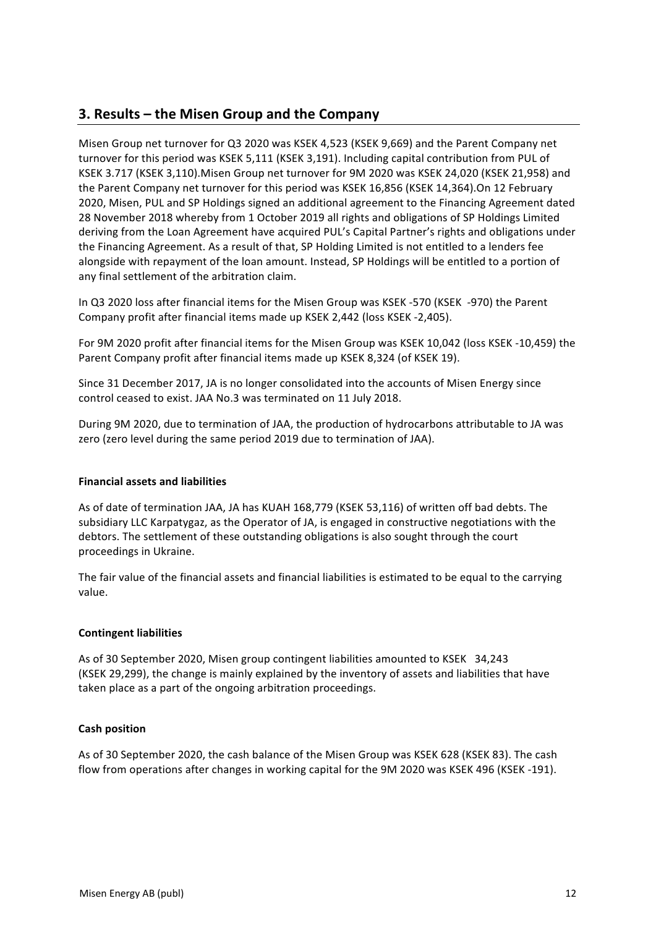# **3. Results – the Misen Group and the Company**

Misen Group net turnover for Q3 2020 was KSEK 4,523 (KSEK 9,669) and the Parent Company net turnover for this period was KSEK 5,111 (KSEK 3,191). Including capital contribution from PUL of KSEK 3.717 (KSEK 3,110). Misen Group net turnover for 9M 2020 was KSEK 24,020 (KSEK 21,958) and the Parent Company net turnover for this period was KSEK 16,856 (KSEK 14,364).On 12 February 2020, Misen, PUL and SP Holdings signed an additional agreement to the Financing Agreement dated 28 November 2018 whereby from 1 October 2019 all rights and obligations of SP Holdings Limited deriving from the Loan Agreement have acquired PUL's Capital Partner's rights and obligations under the Financing Agreement. As a result of that, SP Holding Limited is not entitled to a lenders fee alongside with repayment of the loan amount. Instead, SP Holdings will be entitled to a portion of any final settlement of the arbitration claim.

In Q3 2020 loss after financial items for the Misen Group was KSEK -570 (KSEK -970) the Parent Company profit after financial items made up KSEK 2,442 (loss KSEK -2,405).

For 9M 2020 profit after financial items for the Misen Group was KSEK 10,042 (loss KSEK -10,459) the Parent Company profit after financial items made up KSEK 8,324 (of KSEK 19).

Since 31 December 2017, JA is no longer consolidated into the accounts of Misen Energy since control ceased to exist. JAA No.3 was terminated on 11 July 2018.

During 9M 2020, due to termination of JAA, the production of hydrocarbons attributable to JA was zero (zero level during the same period 2019 due to termination of JAA).

### **Financial assets and liabilities**

As of date of termination JAA, JA has KUAH 168,779 (KSEK 53,116) of written off bad debts. The subsidiary LLC Karpatygaz, as the Operator of JA, is engaged in constructive negotiations with the debtors. The settlement of these outstanding obligations is also sought through the court proceedings in Ukraine.

The fair value of the financial assets and financial liabilities is estimated to be equal to the carrying value.

### **Contingent liabilities**

As of 30 September 2020, Misen group contingent liabilities amounted to KSEK 34,243 (KSEK 29,299), the change is mainly explained by the inventory of assets and liabilities that have taken place as a part of the ongoing arbitration proceedings.

### **Cash position**

As of 30 September 2020, the cash balance of the Misen Group was KSEK 628 (KSEK 83). The cash flow from operations after changes in working capital for the 9M 2020 was KSEK 496 (KSEK -191).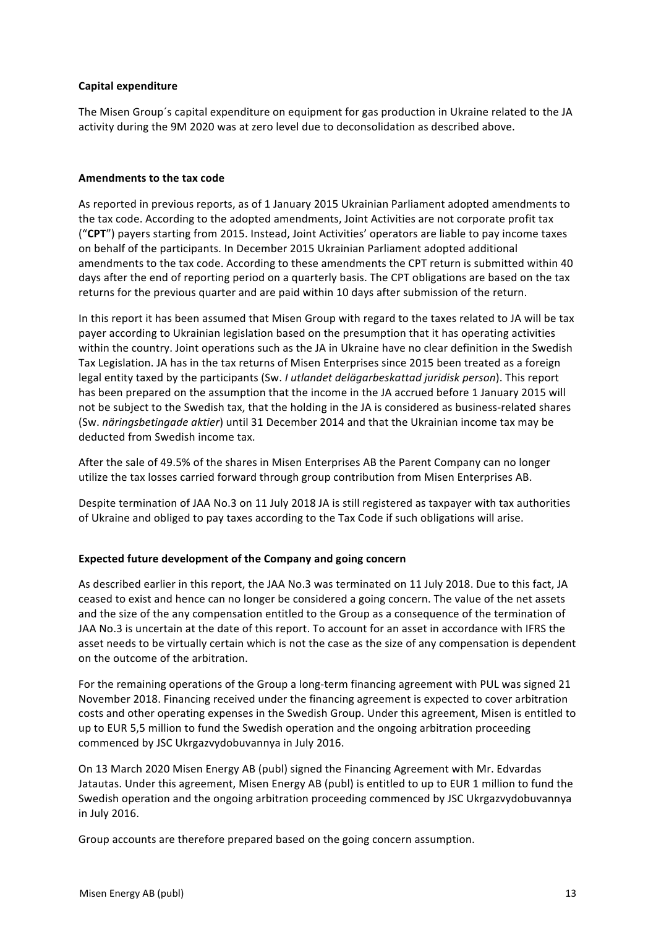# **Capital expenditure**

The Misen Group's capital expenditure on equipment for gas production in Ukraine related to the JA activity during the 9M 2020 was at zero level due to deconsolidation as described above.

#### **Amendments to the tax code**

As reported in previous reports, as of 1 January 2015 Ukrainian Parliament adopted amendments to the tax code. According to the adopted amendments, Joint Activities are not corporate profit tax ("CPT") payers starting from 2015. Instead, Joint Activities' operators are liable to pay income taxes on behalf of the participants. In December 2015 Ukrainian Parliament adopted additional amendments to the tax code. According to these amendments the CPT return is submitted within 40 days after the end of reporting period on a quarterly basis. The CPT obligations are based on the tax returns for the previous quarter and are paid within 10 days after submission of the return.

In this report it has been assumed that Misen Group with regard to the taxes related to JA will be tax payer according to Ukrainian legislation based on the presumption that it has operating activities within the country. Joint operations such as the JA in Ukraine have no clear definition in the Swedish Tax Legislation. JA has in the tax returns of Misen Enterprises since 2015 been treated as a foreign legal entity taxed by the participants (Sw. *I utlandet delägarbeskattad juridisk person*). This report has been prepared on the assumption that the income in the JA accrued before 1 January 2015 will not be subject to the Swedish tax, that the holding in the JA is considered as business-related shares (Sw. *näringsbetingade aktier*) until 31 December 2014 and that the Ukrainian income tax may be deducted from Swedish income tax.

After the sale of 49.5% of the shares in Misen Enterprises AB the Parent Company can no longer utilize the tax losses carried forward through group contribution from Misen Enterprises AB.

Despite termination of JAA No.3 on 11 July 2018 JA is still registered as taxpayer with tax authorities of Ukraine and obliged to pay taxes according to the Tax Code if such obligations will arise.

### **Expected future development of the Company and going concern**

As described earlier in this report, the JAA No.3 was terminated on 11 July 2018. Due to this fact, JA ceased to exist and hence can no longer be considered a going concern. The value of the net assets and the size of the any compensation entitled to the Group as a consequence of the termination of JAA No.3 is uncertain at the date of this report. To account for an asset in accordance with IFRS the asset needs to be virtually certain which is not the case as the size of any compensation is dependent on the outcome of the arbitration.

For the remaining operations of the Group a long-term financing agreement with PUL was signed 21 November 2018. Financing received under the financing agreement is expected to cover arbitration costs and other operating expenses in the Swedish Group. Under this agreement, Misen is entitled to up to EUR 5,5 million to fund the Swedish operation and the ongoing arbitration proceeding commenced by JSC Ukrgazvydobuvannya in July 2016.

On 13 March 2020 Misen Energy AB (publ) signed the Financing Agreement with Mr. Edvardas Jatautas. Under this agreement, Misen Energy AB (publ) is entitled to up to EUR 1 million to fund the Swedish operation and the ongoing arbitration proceeding commenced by JSC Ukrgazvydobuvannya in July 2016.

Group accounts are therefore prepared based on the going concern assumption.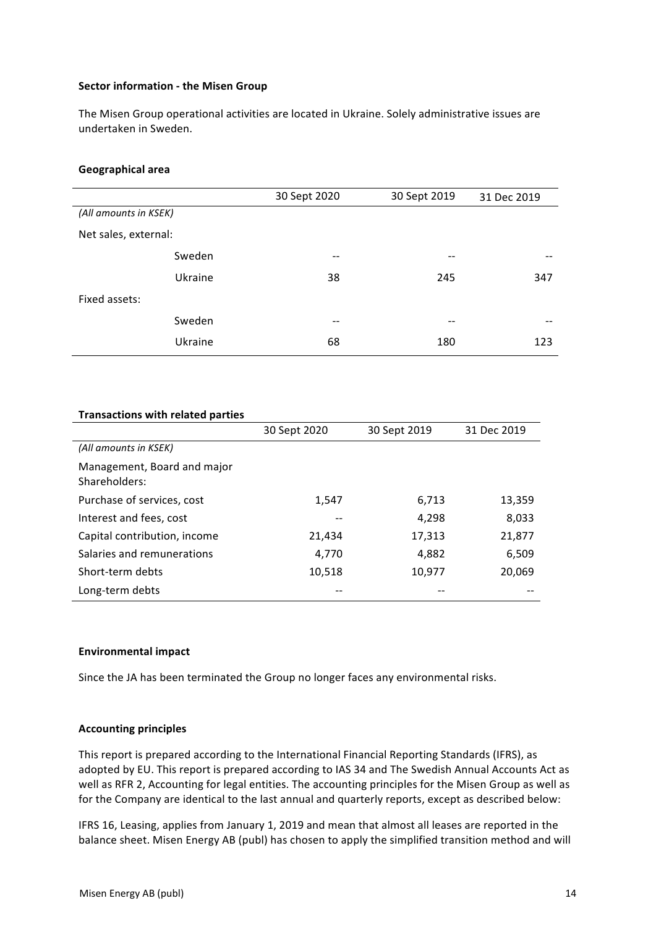#### **Sector information - the Misen Group**

The Misen Group operational activities are located in Ukraine. Solely administrative issues are undertaken in Sweden.

#### **Geographical area**

|                       | 30 Sept 2020 | 30 Sept 2019 | 31 Dec 2019 |
|-----------------------|--------------|--------------|-------------|
| (All amounts in KSEK) |              |              |             |
| Net sales, external:  |              |              |             |
| Sweden                | --           | $- -$        | --          |
| Ukraine               | 38           | 245          | 347         |
| Fixed assets:         |              |              |             |
| Sweden                | --           | --           | --          |
| Ukraine               | 68           | 180          | 123         |

# **Transactions with related parties**

|                                              | 30 Sept 2020 | 30 Sept 2019 | 31 Dec 2019 |
|----------------------------------------------|--------------|--------------|-------------|
| (All amounts in KSEK)                        |              |              |             |
| Management, Board and major<br>Shareholders: |              |              |             |
| Purchase of services, cost                   | 1,547        | 6,713        | 13,359      |
| Interest and fees, cost                      |              | 4,298        | 8,033       |
| Capital contribution, income                 | 21,434       | 17,313       | 21,877      |
| Salaries and remunerations                   | 4.770        | 4,882        | 6,509       |
| Short-term debts                             | 10,518       | 10,977       | 20,069      |
| Long-term debts                              |              |              |             |

#### **Environmental impact**

Since the JA has been terminated the Group no longer faces any environmental risks.

### **Accounting principles**

This report is prepared according to the International Financial Reporting Standards (IFRS), as adopted by EU. This report is prepared according to IAS 34 and The Swedish Annual Accounts Act as well as RFR 2, Accounting for legal entities. The accounting principles for the Misen Group as well as for the Company are identical to the last annual and quarterly reports, except as described below:

IFRS 16, Leasing, applies from January 1, 2019 and mean that almost all leases are reported in the balance sheet. Misen Energy AB (publ) has chosen to apply the simplified transition method and will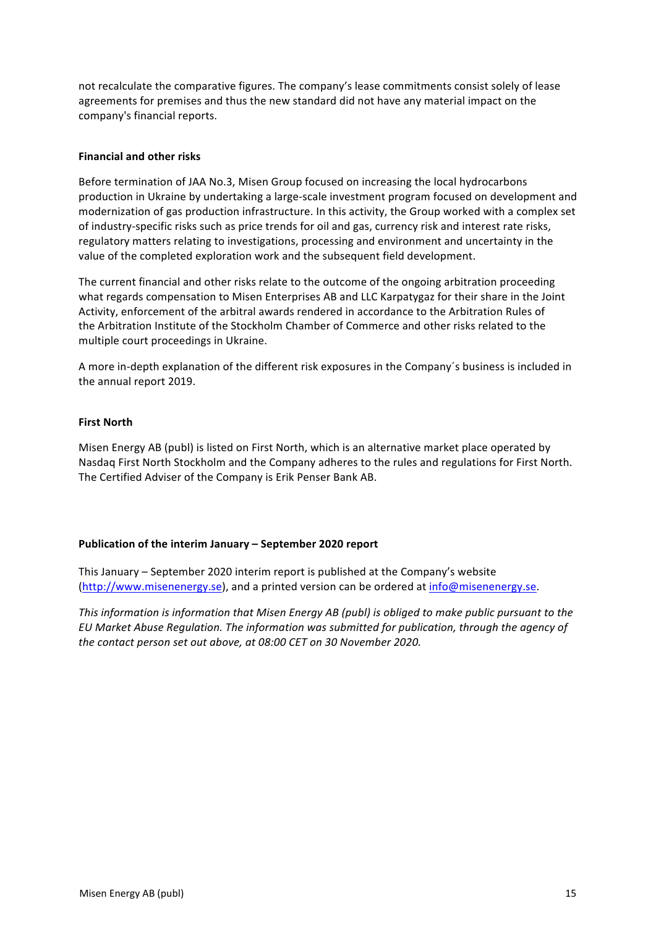not recalculate the comparative figures. The company's lease commitments consist solely of lease agreements for premises and thus the new standard did not have any material impact on the company's financial reports.

# **Financial and other risks**

Before termination of JAA No.3, Misen Group focused on increasing the local hydrocarbons production in Ukraine by undertaking a large-scale investment program focused on development and modernization of gas production infrastructure. In this activity, the Group worked with a complex set of industry-specific risks such as price trends for oil and gas, currency risk and interest rate risks, regulatory matters relating to investigations, processing and environment and uncertainty in the value of the completed exploration work and the subsequent field development.

The current financial and other risks relate to the outcome of the ongoing arbitration proceeding what regards compensation to Misen Enterprises AB and LLC Karpatygaz for their share in the Joint Activity, enforcement of the arbitral awards rendered in accordance to the Arbitration Rules of the Arbitration Institute of the Stockholm Chamber of Commerce and other risks related to the multiple court proceedings in Ukraine.

A more in-depth explanation of the different risk exposures in the Company's business is included in the annual report 2019.

# **First North**

Misen Energy AB (publ) is listed on First North, which is an alternative market place operated by Nasdaq First North Stockholm and the Company adheres to the rules and regulations for First North. The Certified Adviser of the Company is Erik Penser Bank AB.

### **Publication of the interim January – September 2020 report**

This January – September 2020 interim report is published at the Company's website (http://www.misenenergy.se), and a printed version can be ordered at info@misenenergy.se.

*This information is information that Misen Energy AB (publ)* is obliged to make public pursuant to the *EU Market Abuse Regulation. The information was submitted for publication, through the agency of the contact person set out above, at 08:00 CET on 30 November 2020.*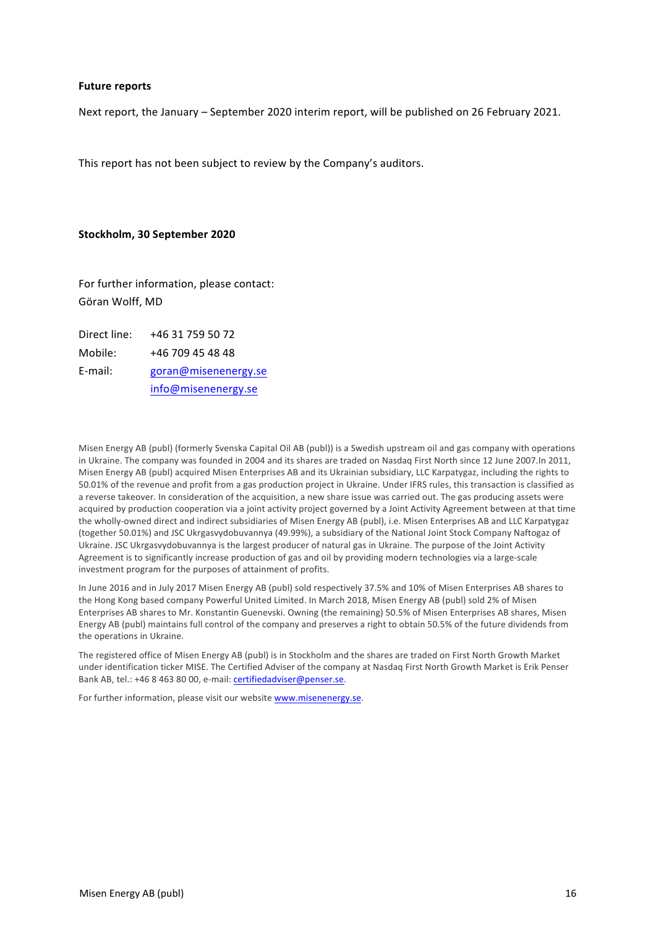#### **Future reports**

Next report, the January - September 2020 interim report, will be published on 26 February 2021.

This report has not been subject to review by the Company's auditors.

#### **Stockholm, 30 September 2020**

For further information, please contact: Göran Wolff, MD

Direct line: +46 31 759 50 72 Mobile: +46 709 45 48 48 E-mail: goran@misenenergy.se info@misenenergy.se

Misen Energy AB (publ) (formerly Svenska Capital Oil AB (publ)) is a Swedish upstream oil and gas company with operations in Ukraine. The company was founded in 2004 and its shares are traded on Nasdaq First North since 12 June 2007.In 2011, Misen Energy AB (publ) acquired Misen Enterprises AB and its Ukrainian subsidiary, LLC Karpatygaz, including the rights to 50.01% of the revenue and profit from a gas production project in Ukraine. Under IFRS rules, this transaction is classified as a reverse takeover. In consideration of the acquisition, a new share issue was carried out. The gas producing assets were acquired by production cooperation via a joint activity project governed by a Joint Activity Agreement between at that time the wholly-owned direct and indirect subsidiaries of Misen Energy AB (publ), i.e. Misen Enterprises AB and LLC Karpatygaz (together 50.01%) and JSC Ukrgasvydobuvannya (49.99%), a subsidiary of the National Joint Stock Company Naftogaz of Ukraine. JSC Ukrgasvydobuvannya is the largest producer of natural gas in Ukraine. The purpose of the Joint Activity Agreement is to significantly increase production of gas and oil by providing modern technologies via a large-scale investment program for the purposes of attainment of profits.

In June 2016 and in July 2017 Misen Energy AB (publ) sold respectively 37.5% and 10% of Misen Enterprises AB shares to the Hong Kong based company Powerful United Limited. In March 2018, Misen Energy AB (publ) sold 2% of Misen Enterprises AB shares to Mr. Konstantin Guenevski. Owning (the remaining) 50.5% of Misen Enterprises AB shares, Misen Energy AB (publ) maintains full control of the company and preserves a right to obtain 50.5% of the future dividends from the operations in Ukraine.

The registered office of Misen Energy AB (publ) is in Stockholm and the shares are traded on First North Growth Market under identification ticker MISE. The Certified Adviser of the company at Nasdaq First North Growth Market is Erik Penser Bank AB, tel.: +46 8 463 80 00, e-mail: certifiedadviser@penser.se.

For further information, please visit our website www.misenenergy.se.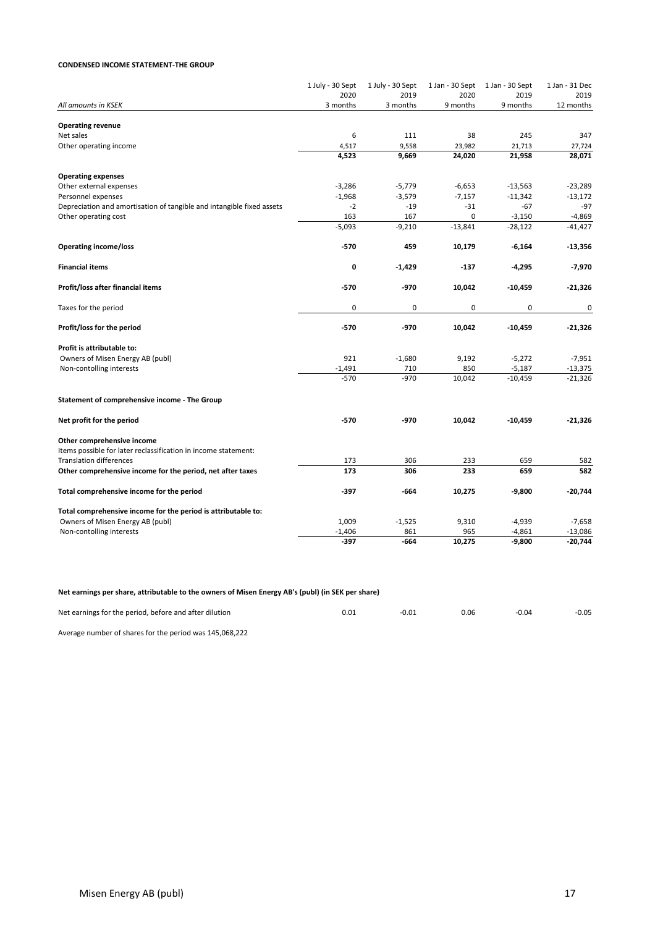#### **CONDENSED INCOME STATEMENT-THE GROUP**

|                                                                       | 1 July - 30 Sept<br>2020 | 1 July - 30 Sept<br>2019 | 2020      | 1 Jan - 30 Sept 1 Jan - 30 Sept<br>2019 | 1 Jan - 31 Dec<br>2019 |
|-----------------------------------------------------------------------|--------------------------|--------------------------|-----------|-----------------------------------------|------------------------|
| All amounts in KSEK                                                   | 3 months                 | 3 months                 | 9 months  | 9 months                                | 12 months              |
|                                                                       |                          |                          |           |                                         |                        |
| <b>Operating revenue</b>                                              |                          |                          |           |                                         |                        |
| Net sales                                                             | 6                        | 111                      | 38        | 245                                     | 347                    |
| Other operating income                                                | 4,517                    | 9,558                    | 23,982    | 21,713                                  | 27,724                 |
|                                                                       | 4,523                    | 9,669                    | 24,020    | 21,958                                  | 28,071                 |
| <b>Operating expenses</b>                                             |                          |                          |           |                                         |                        |
| Other external expenses                                               | $-3,286$                 | $-5,779$                 | $-6,653$  | $-13,563$                               | $-23,289$              |
| Personnel expenses                                                    | $-1,968$                 | $-3,579$                 | $-7,157$  | $-11,342$                               | $-13,172$              |
| Depreciation and amortisation of tangible and intangible fixed assets | $-2$                     | $-19$                    | $-31$     | $-67$                                   | $-97$                  |
| Other operating cost                                                  | 163                      | 167                      | 0         | $-3,150$                                | -4,869                 |
|                                                                       | $-5,093$                 | $-9,210$                 | $-13,841$ | $-28,122$                               | $-41,427$              |
| <b>Operating income/loss</b>                                          | $-570$                   | 459                      | 10,179    | $-6,164$                                | $-13,356$              |
| <b>Financial items</b>                                                | 0                        | $-1,429$                 | $-137$    | -4,295                                  | -7,970                 |
| Profit/loss after financial items                                     | $-570$                   | -970                     | 10,042    | $-10,459$                               | $-21,326$              |
| Taxes for the period                                                  | 0                        | $\mathbf 0$              | 0         | 0                                       | 0                      |
|                                                                       |                          |                          |           |                                         |                        |
| Profit/loss for the period                                            | $-570$                   | -970                     | 10,042    | $-10,459$                               | $-21,326$              |
| Profit is attributable to:                                            |                          |                          |           |                                         |                        |
| Owners of Misen Energy AB (publ)                                      | 921                      | $-1,680$                 | 9,192     | $-5,272$                                | $-7,951$               |
| Non-contolling interests                                              | $-1,491$                 | 710                      | 850       | $-5,187$                                | $-13,375$              |
|                                                                       | $-570$                   | $-970$                   | 10,042    | $-10,459$                               | $-21,326$              |
| Statement of comprehensive income - The Group                         |                          |                          |           |                                         |                        |
| Net profit for the period                                             | $-570$                   | -970                     | 10,042    | $-10,459$                               | $-21,326$              |
| Other comprehensive income                                            |                          |                          |           |                                         |                        |
| Items possible for later reclassification in income statement:        |                          |                          |           |                                         |                        |
| <b>Translation differences</b>                                        | 173                      | 306                      | 233       | 659                                     | 582                    |
| Other comprehensive income for the period, net after taxes            | 173                      | 306                      | 233       | 659                                     | 582                    |
| Total comprehensive income for the period                             | $-397$                   | -664                     | 10,275    | -9,800                                  | $-20,744$              |
| Total comprehensive income for the period is attributable to:         |                          |                          |           |                                         |                        |
| Owners of Misen Energy AB (publ)                                      | 1,009                    | $-1,525$                 | 9,310     | $-4,939$                                | $-7,658$               |
| Non-contolling interests                                              | $-1,406$                 | 861                      | 965       | $-4,861$                                | $-13,086$              |
|                                                                       | $-397$                   | $-664$                   | 10,275    | $-9,800$                                | $-20,744$              |

Net earnings per share, attributable to the owners of Misen Energy AB's (publ) (in SEK per share)

| Net earnings for the period, before and after dilution | 0.01 | $-0.01$ | 0.06 | $-0.04$ | $-0.05$ |
|--------------------------------------------------------|------|---------|------|---------|---------|
|                                                        |      |         |      |         |         |

Average number of shares for the period was 145,068,222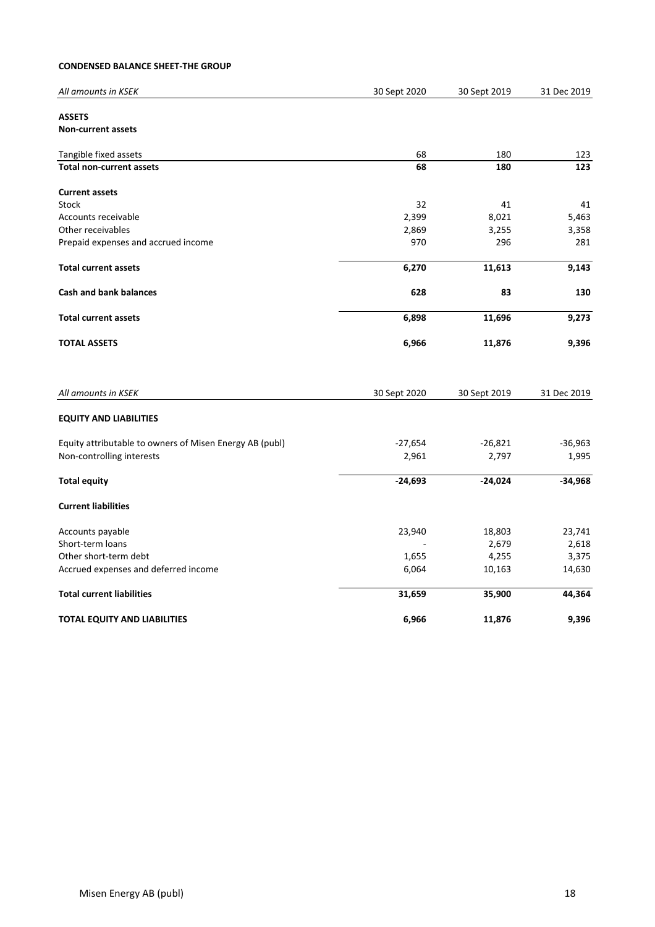### **CONDENSED BALANCE SHEET-THE GROUP**

| All amounts in KSEK                                     | 30 Sept 2020 | 30 Sept 2019 | 31 Dec 2019 |
|---------------------------------------------------------|--------------|--------------|-------------|
| <b>ASSETS</b>                                           |              |              |             |
| Non-current assets                                      |              |              |             |
| Tangible fixed assets                                   | 68           | 180          | 123         |
| <b>Total non-current assets</b>                         | 68           | 180          | 123         |
| <b>Current assets</b>                                   |              |              |             |
| <b>Stock</b>                                            | 32           | 41           | 41          |
| Accounts receivable                                     | 2,399        | 8,021        | 5,463       |
| Other receivables                                       | 2,869        | 3,255        | 3,358       |
| Prepaid expenses and accrued income                     | 970          | 296          | 281         |
| <b>Total current assets</b>                             | 6,270        | 11,613       | 9,143       |
| <b>Cash and bank balances</b>                           | 628          | 83           | 130         |
| <b>Total current assets</b>                             | 6,898        | 11,696       | 9,273       |
| <b>TOTAL ASSETS</b>                                     | 6,966        | 11,876       | 9,396       |
| All amounts in KSEK                                     | 30 Sept 2020 | 30 Sept 2019 | 31 Dec 2019 |
| <b>EQUITY AND LIABILITIES</b>                           |              |              |             |
| Equity attributable to owners of Misen Energy AB (publ) | $-27,654$    | $-26,821$    | $-36,963$   |
| Non-controlling interests                               | 2,961        | 2,797        | 1,995       |
| <b>Total equity</b>                                     | $-24,693$    | $-24,024$    | $-34,968$   |
| <b>Current liabilities</b>                              |              |              |             |
| Accounts payable                                        | 23,940       | 18,803       | 23,741      |
| Short-term loans                                        |              | 2,679        | 2,618       |
| Other short-term debt                                   | 1,655        | 4,255        | 3,375       |
| Accrued expenses and deferred income                    | 6,064        | 10,163       | 14,630      |
| <b>Total current liabilities</b>                        | 31,659       | 35,900       | 44,364      |
| <b>TOTAL EQUITY AND LIABILITIES</b>                     | 6,966        | 11,876       | 9,396       |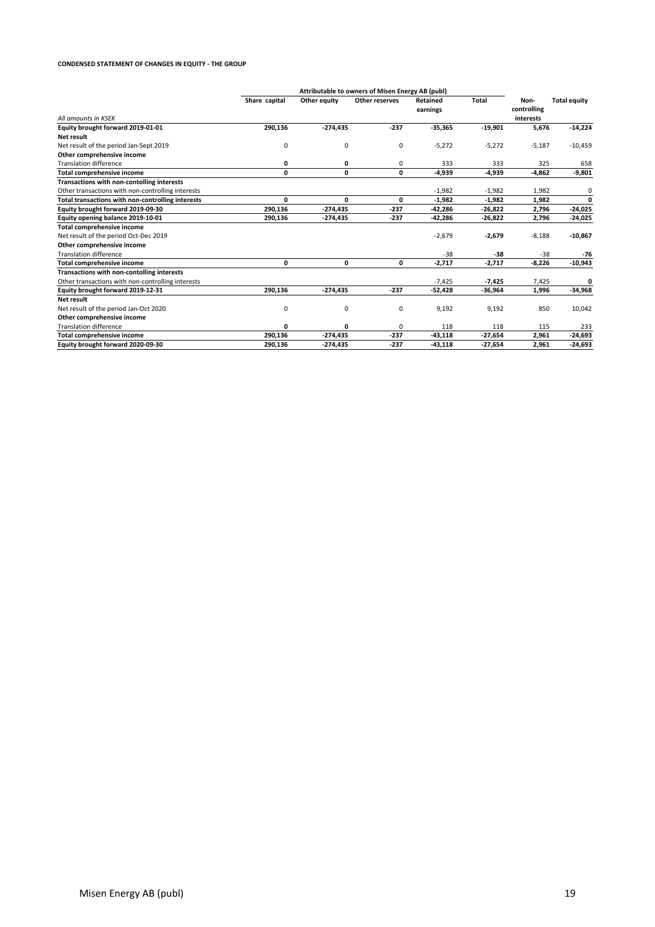#### **CONDENSED STATEMENT OF CHANGES IN EQUITY - THE GROUP**

|                                                   | Attributable to owners of Misen Energy AB (publ) |              |                |                      |              |                                  |                     |
|---------------------------------------------------|--------------------------------------------------|--------------|----------------|----------------------|--------------|----------------------------------|---------------------|
| All amounts in KSEK                               | Share capital                                    | Other equity | Other reserves | Retained<br>earnings | <b>Total</b> | Non-<br>controlling<br>interests | <b>Total equity</b> |
|                                                   |                                                  |              |                |                      |              |                                  |                     |
| Equity brought forward 2019-01-01                 | 290,136                                          | $-274,435$   | $-237$         | $-35,365$            | $-19,901$    | 5,676                            | $-14,224$           |
| Net result                                        |                                                  |              |                |                      |              |                                  |                     |
| Net result of the period Jan-Sept 2019            | 0                                                | 0            | 0              | $-5,272$             | $-5,272$     | $-5,187$                         | $-10,459$           |
| Other comprehensive income                        |                                                  |              |                |                      |              |                                  |                     |
| <b>Translation difference</b>                     | 0                                                | 0            | 0              | 333                  | 333          | 325                              | 658                 |
| <b>Total comprehensive income</b>                 | 0                                                | 0            | 0              | $-4,939$             | -4,939       | $-4,862$                         | $-9,801$            |
| Transactions with non-contolling interests        |                                                  |              |                |                      |              |                                  |                     |
| Other transactions with non-controlling interests |                                                  |              |                | $-1,982$             | $-1,982$     | 1,982                            | 0                   |
| Total transactions with non-controlling interests | 0                                                | 0            | 0              | $-1,982$             | $-1,982$     | 1,982                            | $\mathbf{0}$        |
| Equity brought forward 2019-09-30                 | 290,136                                          | $-274,435$   | $-237$         | $-42,286$            | -26,822      | 2,796                            | $-24,025$           |
| Equity opening balance 2019-10-01                 | 290,136                                          | $-274,435$   | $-237$         | $-42,286$            | $-26,822$    | 2,796                            | $-24,025$           |
| <b>Total comprehensive income</b>                 |                                                  |              |                |                      |              |                                  |                     |
| Net result of the period Oct-Dec 2019             |                                                  |              |                | $-2,679$             | $-2,679$     | $-8,188$                         | $-10,867$           |
| Other comprehensive income                        |                                                  |              |                |                      |              |                                  |                     |
| <b>Translation difference</b>                     |                                                  |              |                | $-38$                | -38          | $-38$                            | $-76$               |
| <b>Total comprehensive income</b>                 | 0                                                | 0            | 0              | $-2,717$             | $-2,717$     | $-8,226$                         | $-10,943$           |
| Transactions with non-contolling interests        |                                                  |              |                |                      |              |                                  |                     |
| Other transactions with non-controlling interests |                                                  |              |                | $-7,425$             | $-7,425$     | 7,425                            | 0                   |
| Equity brought forward 2019-12-31                 | 290,136                                          | $-274,435$   | $-237$         | $-52,428$            | -36,964      | 1,996                            | $-34,968$           |
| Net result                                        |                                                  |              |                |                      |              |                                  |                     |
| Net result of the period Jan-Oct 2020             | 0                                                | 0            | 0              | 9,192                | 9,192        | 850                              | 10,042              |
| Other comprehensive income                        |                                                  |              |                |                      |              |                                  |                     |
| <b>Translation difference</b>                     | 0                                                | 0            | 0              | 118                  | 118          | 115                              | 233                 |
| <b>Total comprehensive income</b>                 | 290.136                                          | $-274,435$   | $-237$         | $-43,118$            | $-27.654$    | 2,961                            | $-24,693$           |
| Equity brought forward 2020-09-30                 | 290.136                                          | $-274.435$   | $-237$         | $-43.118$            | $-27.654$    | 2,961                            | $-24,693$           |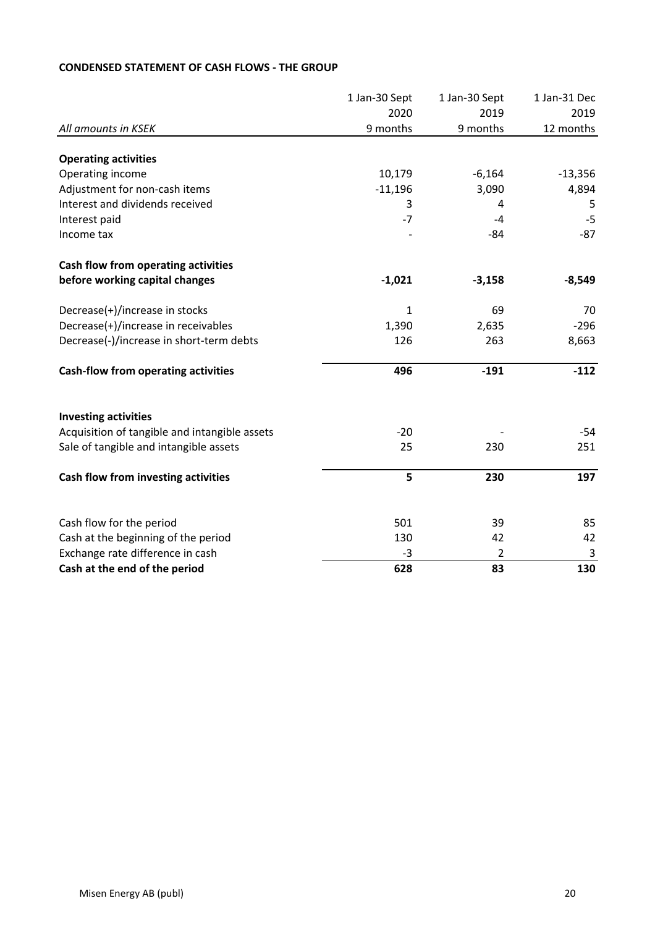|                                               | 1 Jan-30 Sept | 1 Jan-30 Sept  | 1 Jan-31 Dec |
|-----------------------------------------------|---------------|----------------|--------------|
|                                               | 2020          | 2019           | 2019         |
| All amounts in KSEK                           | 9 months      | 9 months       | 12 months    |
|                                               |               |                |              |
| <b>Operating activities</b>                   |               |                |              |
| Operating income                              | 10,179        | $-6,164$       | $-13,356$    |
| Adjustment for non-cash items                 | $-11,196$     | 3,090          | 4,894        |
| Interest and dividends received               | 3             | 4              | 5            |
| Interest paid                                 | $-7$          | $-4$           | $-5$         |
| Income tax                                    |               | $-84$          | $-87$        |
| Cash flow from operating activities           |               |                |              |
| before working capital changes                | $-1,021$      | $-3,158$       | $-8,549$     |
| Decrease(+)/increase in stocks                | $\mathbf{1}$  | 69             | 70           |
| Decrease(+)/increase in receivables           | 1,390         | 2,635          | $-296$       |
| Decrease(-)/increase in short-term debts      | 126           | 263            | 8,663        |
| <b>Cash-flow from operating activities</b>    | 496           | $-191$         | $-112$       |
| <b>Investing activities</b>                   |               |                |              |
| Acquisition of tangible and intangible assets | $-20$         |                | $-54$        |
| Sale of tangible and intangible assets        | 25            | 230            | 251          |
| Cash flow from investing activities           | 5             | 230            | 197          |
|                                               |               |                |              |
| Cash flow for the period                      | 501           | 39             | 85           |
| Cash at the beginning of the period           | 130           | 42             | 42           |
| Exchange rate difference in cash              | $-3$          | $\overline{2}$ | 3            |
| Cash at the end of the period                 | 628           | 83             | 130          |

# **CONDENSED STATEMENT OF CASH FLOWS - THE GROUP**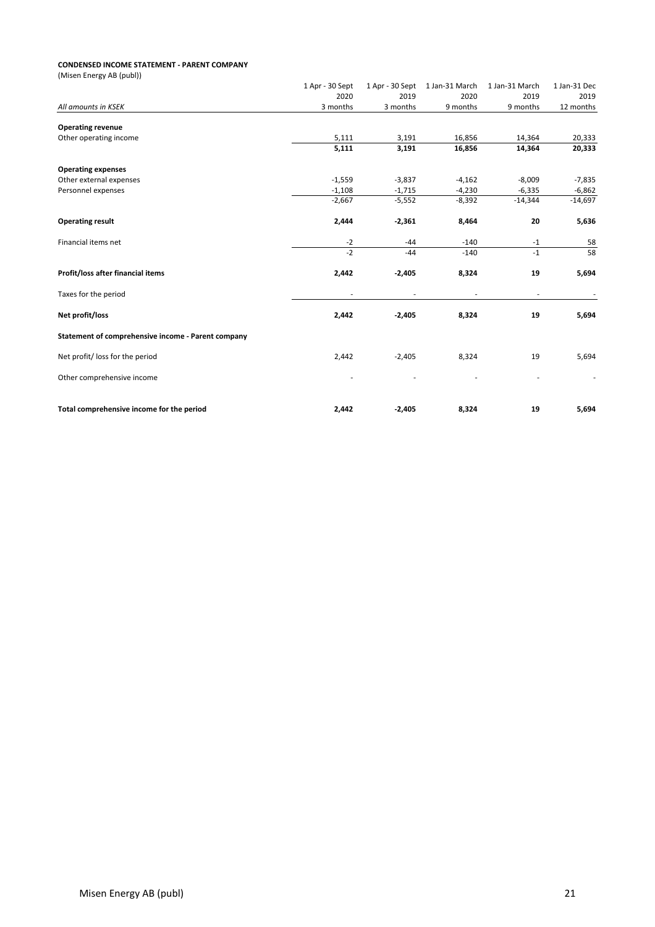#### **CONDENSED INCOME STATEMENT - PARENT COMPANY**

| (Misen Energy AB (publ))                           |                 |                 |                |                |              |
|----------------------------------------------------|-----------------|-----------------|----------------|----------------|--------------|
|                                                    | 1 Apr - 30 Sept | 1 Apr - 30 Sept | 1 Jan-31 March | 1 Jan-31 March | 1 Jan-31 Dec |
|                                                    | 2020            | 2019            | 2020           | 2019           | 2019         |
| All amounts in KSEK                                | 3 months        | 3 months        | 9 months       | 9 months       | 12 months    |
| <b>Operating revenue</b>                           |                 |                 |                |                |              |
| Other operating income                             | 5,111           | 3,191           | 16,856         | 14,364         | 20,333       |
|                                                    | 5,111           | 3,191           | 16,856         | 14,364         | 20,333       |
| <b>Operating expenses</b>                          |                 |                 |                |                |              |
| Other external expenses                            | $-1,559$        | $-3,837$        | $-4,162$       | $-8,009$       | $-7,835$     |
| Personnel expenses                                 | $-1,108$        | $-1,715$        | $-4,230$       | $-6,335$       | $-6,862$     |
|                                                    | $-2,667$        | $-5,552$        | $-8,392$       | $-14,344$      | $-14,697$    |
| <b>Operating result</b>                            | 2,444           | $-2,361$        | 8,464          | 20             | 5,636        |
| Financial items net                                | $-2$            | $-44$           | $-140$         | $-1$           | 58           |
|                                                    | $-2$            | $-44$           | $-140$         | $-1$           | 58           |
| Profit/loss after financial items                  | 2,442           | $-2,405$        | 8,324          | 19             | 5,694        |
| Taxes for the period                               |                 |                 |                |                |              |
| Net profit/loss                                    | 2,442           | $-2,405$        | 8,324          | 19             | 5,694        |
| Statement of comprehensive income - Parent company |                 |                 |                |                |              |
| Net profit/ loss for the period                    | 2,442           | $-2,405$        | 8,324          | 19             | 5,694        |
| Other comprehensive income                         |                 |                 |                |                |              |
| Total comprehensive income for the period          | 2,442           | $-2,405$        | 8,324          | 19             | 5,694        |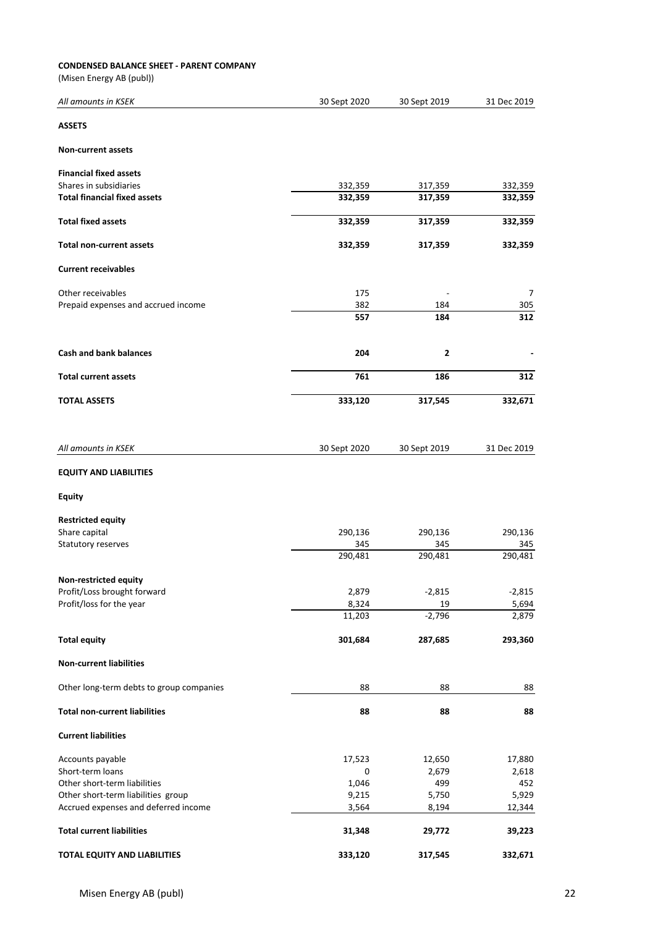#### **CONDENSED BALANCE SHEET - PARENT COMPANY**

(Misen Energy AB (publ))

| All amounts in KSEK                      | 30 Sept 2020 | 30 Sept 2019   | 31 Dec 2019 |
|------------------------------------------|--------------|----------------|-------------|
| <b>ASSETS</b>                            |              |                |             |
| <b>Non-current assets</b>                |              |                |             |
| <b>Financial fixed assets</b>            |              |                |             |
| Shares in subsidiaries                   | 332,359      | 317,359        | 332,359     |
| <b>Total financial fixed assets</b>      | 332,359      | 317,359        | 332,359     |
| <b>Total fixed assets</b>                | 332,359      | 317,359        | 332,359     |
| <b>Total non-current assets</b>          | 332,359      | 317,359        | 332,359     |
| <b>Current receivables</b>               |              |                |             |
| Other receivables                        | 175          |                | 7           |
| Prepaid expenses and accrued income      | 382          | 184            | 305         |
|                                          | 557          | 184            | 312         |
| <b>Cash and bank balances</b>            | 204          | $\overline{2}$ |             |
| <b>Total current assets</b>              | 761          | 186            | 312         |
| <b>TOTAL ASSETS</b>                      | 333,120      | 317,545        | 332,671     |
| All amounts in KSEK                      | 30 Sept 2020 | 30 Sept 2019   | 31 Dec 2019 |
| <b>EQUITY AND LIABILITIES</b>            |              |                |             |
| <b>Equity</b>                            |              |                |             |
| <b>Restricted equity</b>                 |              |                |             |
| Share capital                            | 290,136      | 290,136        | 290,136     |
| Statutory reserves                       | 345          | 345            | 345         |
|                                          | 290,481      | 290,481        | 290,481     |
| Non-restricted equity                    |              |                |             |
| Profit/Loss brought forward              | 2,879        | $-2,815$       | $-2,815$    |
| Profit/loss for the year                 | 8,324        | 19             | 5,694       |
|                                          | 11,203       | $-2,796$       | 2,879       |
| <b>Total equity</b>                      | 301,684      | 287,685        | 293,360     |
| <b>Non-current liabilities</b>           |              |                |             |
| Other long-term debts to group companies | 88           | 88             | 88          |
| <b>Total non-current liabilities</b>     | 88           | 88             | 88          |
| <b>Current liabilities</b>               |              |                |             |
| Accounts payable                         | 17,523       | 12,650         | 17,880      |
| Short-term loans                         | 0            | 2,679          | 2,618       |
| Other short-term liabilities             | 1,046        | 499            | 452         |
| Other short-term liabilities group       | 9,215        | 5,750          | 5,929       |
| Accrued expenses and deferred income     | 3,564        | 8,194          | 12,344      |
| <b>Total current liabilities</b>         | 31,348       | 29,772         | 39,223      |
| <b>TOTAL EQUITY AND LIABILITIES</b>      | 333,120      | 317,545        | 332,671     |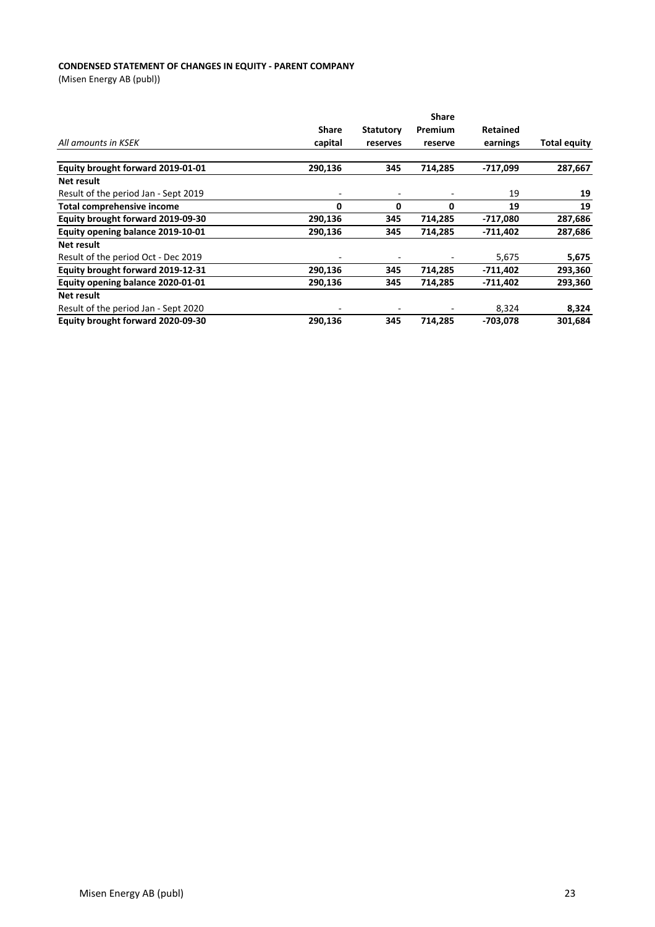#### **CONDENSED STATEMENT OF CHANGES IN EQUITY - PARENT COMPANY**

(Misen Energy AB (publ))

|                                      | <b>Share</b> | <b>Statutory</b> | Premium | <b>Retained</b> |                     |
|--------------------------------------|--------------|------------------|---------|-----------------|---------------------|
| All amounts in KSEK                  | capital      | reserves         | reserve | earnings        | <b>Total equity</b> |
| Equity brought forward 2019-01-01    | 290,136      | 345              | 714,285 | $-717,099$      | 287,667             |
| Net result                           |              |                  |         |                 |                     |
| Result of the period Jan - Sept 2019 | -            |                  |         | 19              | 19                  |
| <b>Total comprehensive income</b>    | 0            | 0                | 0       | 19              | 19                  |
| Equity brought forward 2019-09-30    | 290,136      | 345              | 714,285 | -717,080        | 287,686             |
| Equity opening balance 2019-10-01    | 290,136      | 345              | 714,285 | $-711,402$      | 287,686             |
| Net result                           |              |                  |         |                 |                     |
| Result of the period Oct - Dec 2019  | -            |                  |         | 5,675           | 5,675               |
| Equity brought forward 2019-12-31    | 290,136      | 345              | 714,285 | -711,402        | 293,360             |
| Equity opening balance 2020-01-01    | 290,136      | 345              | 714,285 | $-711,402$      | 293,360             |
| Net result                           |              |                  |         |                 |                     |
| Result of the period Jan - Sept 2020 | -            |                  |         | 8,324           | 8,324               |
| Equity brought forward 2020-09-30    | 290,136      | 345              | 714,285 | -703.078        | 301,684             |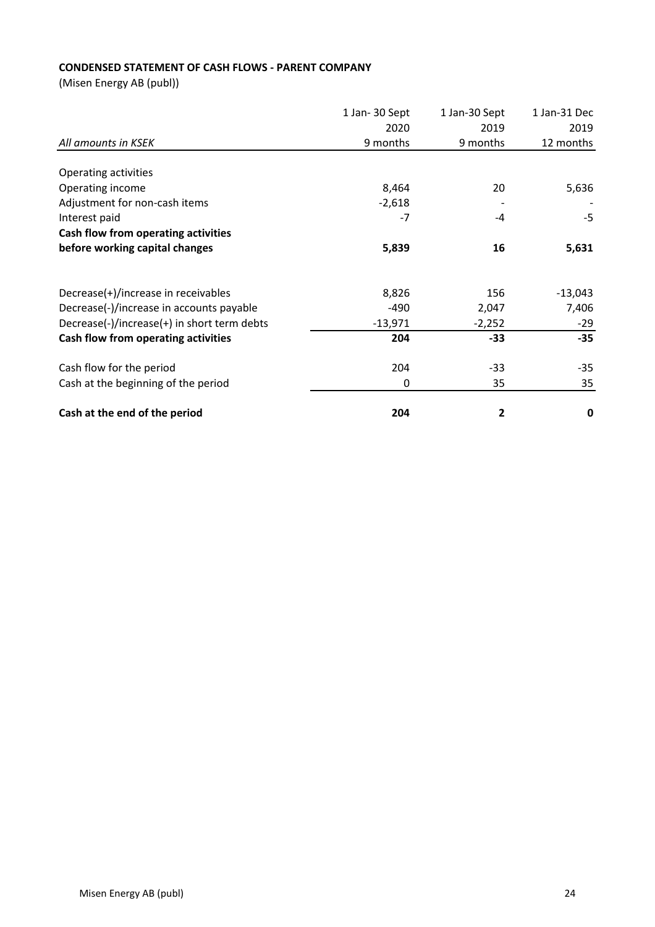# **CONDENSED STATEMENT OF CASH FLOWS - PARENT COMPANY**

(Misen Energy AB (publ))

|                                             | 1 Jan-30 Sept<br>1 Jan-30 Sept | 1 Jan-31 Dec |           |
|---------------------------------------------|--------------------------------|--------------|-----------|
|                                             | 2020                           | 2019         | 2019      |
| All amounts in KSEK                         | 9 months                       | 9 months     | 12 months |
| Operating activities                        |                                |              |           |
| Operating income                            | 8,464                          | 20           | 5,636     |
| Adjustment for non-cash items               | $-2,618$                       |              |           |
| Interest paid                               | -7                             | -4           | $-5$      |
| Cash flow from operating activities         |                                |              |           |
| before working capital changes              | 5,839                          | 16           | 5,631     |
|                                             |                                |              |           |
| Decrease(+)/increase in receivables         | 8,826                          | 156          | $-13,043$ |
| Decrease(-)/increase in accounts payable    | -490                           | 2,047        | 7,406     |
| Decrease(-)/increase(+) in short term debts | $-13,971$                      | $-2,252$     | $-29$     |
| Cash flow from operating activities         | 204                            | -33          | $-35$     |
| Cash flow for the period                    | 204                            | -33          | $-35$     |
| Cash at the beginning of the period         | 0                              | 35           | 35        |
| Cash at the end of the period               | 204                            | 2            | 0         |